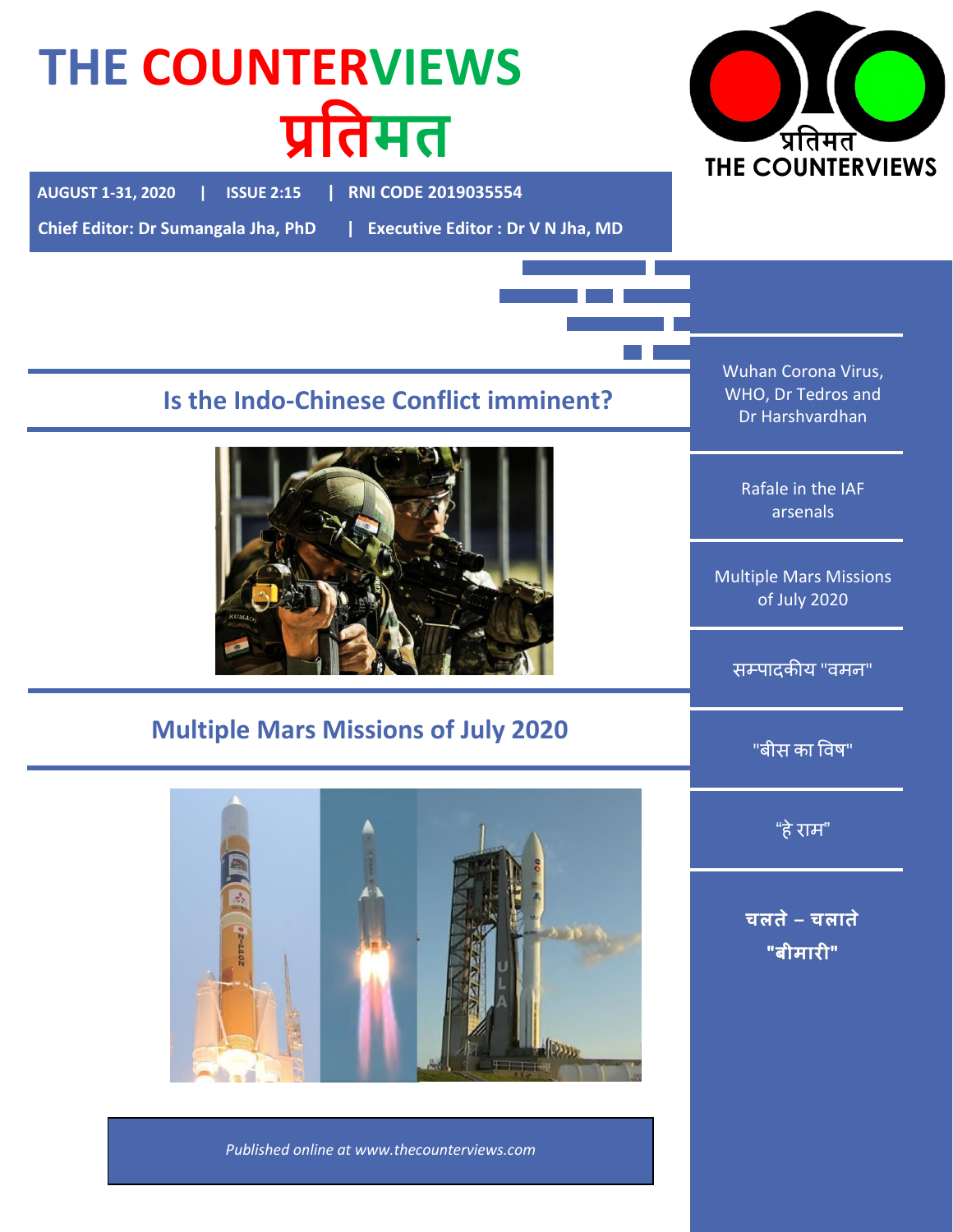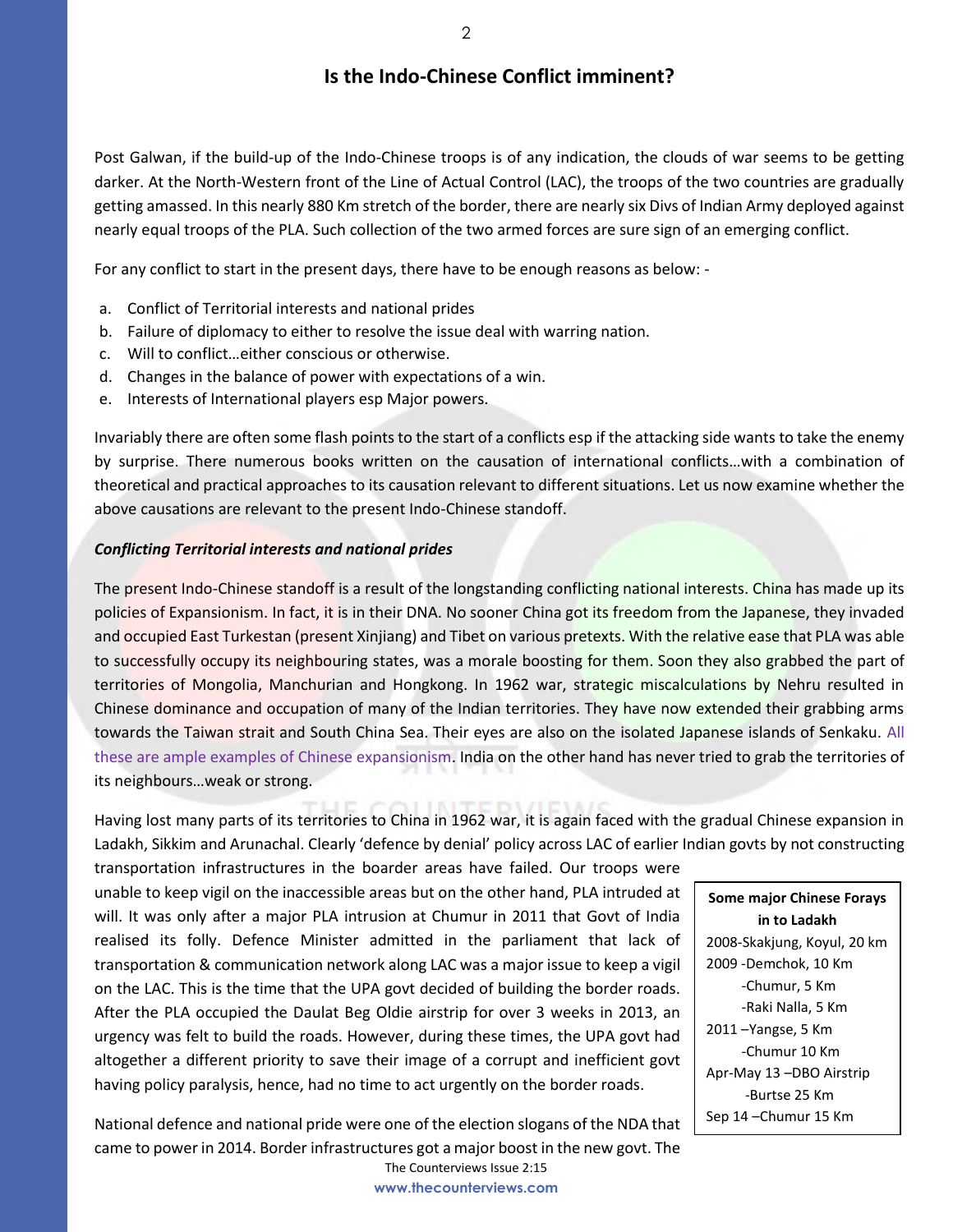## **Is the Indo-Chinese Conflict imminent?**

Post Galwan, if the build-up of the Indo-Chinese troops is of any indication, the clouds of war seems to be getting darker. At the North-Western front of the Line of Actual Control (LAC), the troops of the two countries are gradually getting amassed. In this nearly 880 Km stretch of the border, there are nearly six Divs of Indian Army deployed against nearly equal troops of the PLA. Such collection of the two armed forces are sure sign of an emerging conflict.

For any conflict to start in the present days, there have to be enough reasons as below: -

- a. Conflict of Territorial interests and national prides
- b. Failure of diplomacy to either to resolve the issue deal with warring nation.
- c. Will to conflict…either conscious or otherwise.
- d. Changes in the balance of power with expectations of a win.
- e. Interests of International players esp Major powers.

Invariably there are often some flash points to the start of a conflicts esp if the attacking side wants to take the enemy by surprise. There numerous books written on the causation of international conflicts…with a combination of theoretical and practical approaches to its causation relevant to different situations. Let us now examine whether the above causations are relevant to the present Indo-Chinese standoff.

### *Conflicting Territorial interests and national prides*

The present Indo-Chinese standoff is a result of the longstanding conflicting national interests. China has made up its policies of Expansionism. In fact, it is in their DNA. No sooner China got its freedom from the Japanese, they invaded and occupied East Turkestan (present Xinjiang) and Tibet on various pretexts. With the relative ease that PLA was able to successfully occupy its neighbouring states, was a morale boosting for them. Soon they also grabbed the part of territories of Mongolia, Manchurian and Hongkong. In 1962 war, strategic miscalculations by Nehru resulted in Chinese dominance and occupation of many of the Indian territories. They have now extended their grabbing arms towards the Taiwan strait and South China Sea. Their eyes are also on the isolated Japanese islands of Senkaku. All these are ample examples of Chinese expansionism. India on the other hand has never tried to grab the territories of its neighbours…weak or strong.

Having lost many parts of its territories to China in 1962 war, it is again faced with the gradual Chinese expansion in Ladakh, Sikkim and Arunachal. Clearly 'defence by denial' policy across LAC of earlier Indian govts by not constructing

transportation infrastructures in the boarder areas have failed. Our troops were unable to keep vigil on the inaccessible areas but on the other hand, PLA intruded at will. It was only after a major PLA intrusion at Chumur in 2011 that Govt of India realised its folly. Defence Minister admitted in the parliament that lack of transportation & communication network along LAC was a major issue to keep a vigil on the LAC. This is the time that the UPA govt decided of building the border roads. After the PLA occupied the Daulat Beg Oldie airstrip for over 3 weeks in 2013, an urgency was felt to build the roads. However, during these times, the UPA govt had altogether a different priority to save their image of a corrupt and inefficient govt having policy paralysis, hence, had no time to act urgently on the border roads.

The Counterviews Issue 2:15 National defence and national pride were one of the election slogans of the NDA that came to power in 2014. Border infrastructures got a major boost in the new govt. The

**www.thecounterviews.com**

**Some major Chinese Forays in to Ladakh** 2008-Skakjung, Koyul, 20 km 2009 -Demchok, 10 Km -Chumur, 5 Km -Raki Nalla, 5 Km 2011 –Yangse, 5 Km -Chumur 10 Km Apr-May 13 –DBO Airstrip -Burtse 25 Km Sep 14 –Chumur 15 Km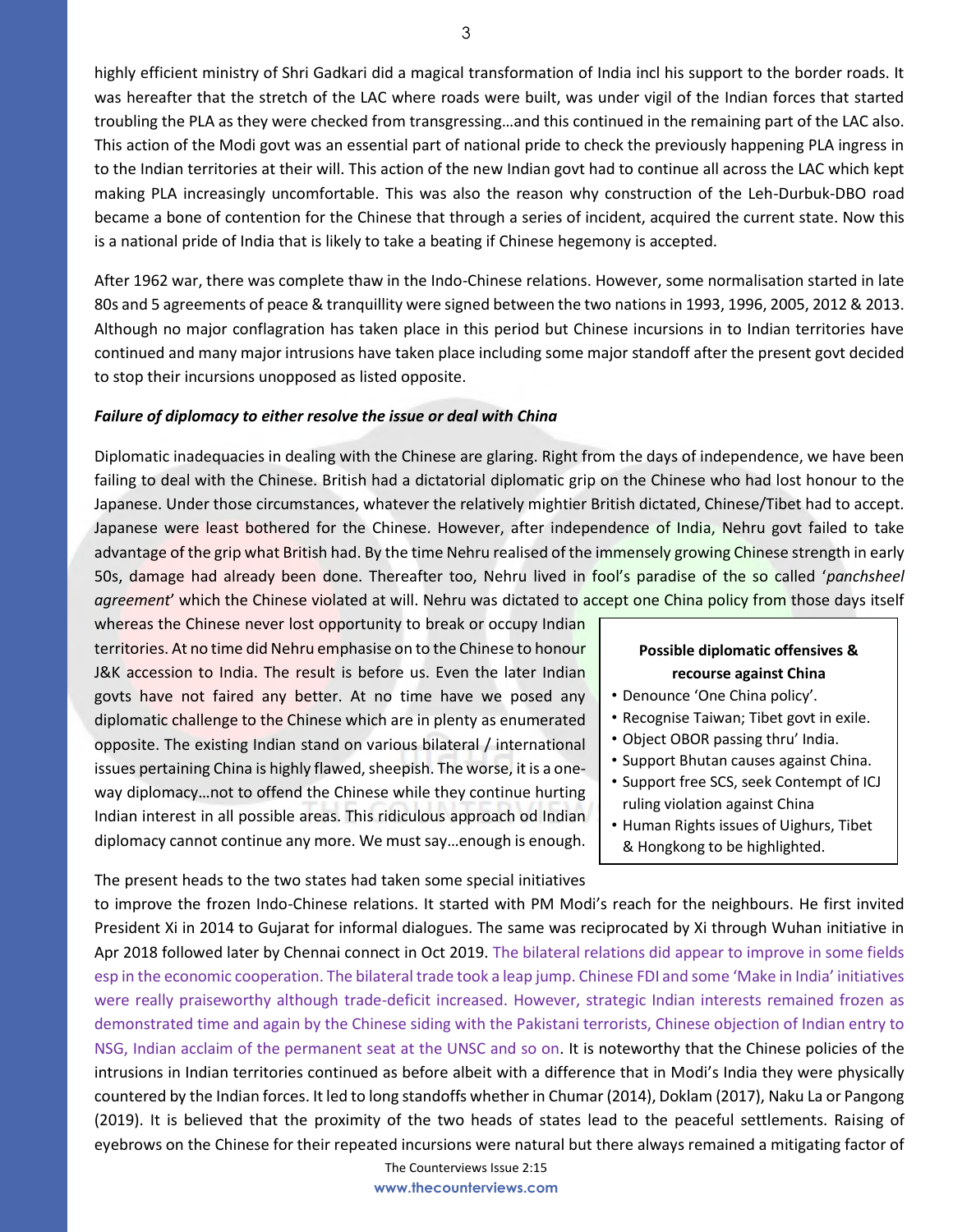highly efficient ministry of Shri Gadkari did a magical transformation of India incl his support to the border roads. It was hereafter that the stretch of the LAC where roads were built, was under vigil of the Indian forces that started troubling the PLA as they were checked from transgressing…and this continued in the remaining part of the LAC also. This action of the Modi govt was an essential part of national pride to check the previously happening PLA ingress in to the Indian territories at their will. This action of the new Indian govt had to continue all across the LAC which kept making PLA increasingly uncomfortable. This was also the reason why construction of the Leh-Durbuk-DBO road became a bone of contention for the Chinese that through a series of incident, acquired the current state. Now this is a national pride of India that is likely to take a beating if Chinese hegemony is accepted.

After 1962 war, there was complete thaw in the Indo-Chinese relations. However, some normalisation started in late 80s and 5 agreements of peace & tranquillity were signed between the two nations in 1993, 1996, 2005, 2012 & 2013. Although no major conflagration has taken place in this period but Chinese incursions in to Indian territories have continued and many major intrusions have taken place including some major standoff after the present govt decided to stop their incursions unopposed as listed opposite.

### *Failure of diplomacy to either resolve the issue or deal with China*

Diplomatic inadequacies in dealing with the Chinese are glaring. Right from the days of independence, we have been failing to deal with the Chinese. British had a dictatorial diplomatic grip on the Chinese who had lost honour to the Japanese. Under those circumstances, whatever the relatively mightier British dictated, Chinese/Tibet had to accept. Japanese were least bothered for the Chinese. However, after independence of India, Nehru govt failed to take advantage of the grip what British had. By the time Nehru realised of the immensely growing Chinese strength in early 50s, damage had already been done. Thereafter too, Nehru lived in fool's paradise of the so called '*panchsheel agreement*' which the Chinese violated at will. Nehru was dictated to accept one China policy from those days itself

whereas the Chinese never lost opportunity to break or occupy Indian territories. At no time did Nehru emphasise on to the Chinese to honour J&K accession to India. The result is before us. Even the later Indian govts have not faired any better. At no time have we posed any diplomatic challenge to the Chinese which are in plenty as enumerated opposite. The existing Indian stand on various bilateral / international issues pertaining China is highly flawed, sheepish. The worse, it is a oneway diplomacy…not to offend the Chinese while they continue hurting Indian interest in all possible areas. This ridiculous approach od Indian diplomacy cannot continue any more. We must say…enough is enough.

### **Possible diplomatic offensives & recourse against China**

- Denounce 'One China policy'.
- Recognise Taiwan; Tibet govt in exile.
- Object OBOR passing thru' India.
- Support Bhutan causes against China.
- Support free SCS, seek Contempt of ICJ ruling violation against China
- Human Rights issues of Uighurs, Tibet & Hongkong to be highlighted.

The present heads to the two states had taken some special initiatives

to improve the frozen Indo-Chinese relations. It started with PM Modi's reach for the neighbours. He first invited President Xi in 2014 to Gujarat for informal dialogues. The same was reciprocated by Xi through Wuhan initiative in Apr 2018 followed later by Chennai connect in Oct 2019. The bilateral relations did appear to improve in some fields esp in the economic cooperation. The bilateral trade took a leap jump. Chinese FDI and some 'Make in India' initiatives were really praiseworthy although trade-deficit increased. However, strategic Indian interests remained frozen as demonstrated time and again by the Chinese siding with the Pakistani terrorists, Chinese objection of Indian entry to NSG, Indian acclaim of the permanent seat at the UNSC and so on. It is noteworthy that the Chinese policies of the intrusions in Indian territories continued as before albeit with a difference that in Modi's India they were physically countered by the Indian forces. It led to long standoffs whether in Chumar (2014), Doklam (2017), Naku La or Pangong (2019). It is believed that the proximity of the two heads of states lead to the peaceful settlements. Raising of eyebrows on the Chinese for their repeated incursions were natural but there always remained a mitigating factor of

> The Counterviews Issue 2:15 **www.thecounterviews.com**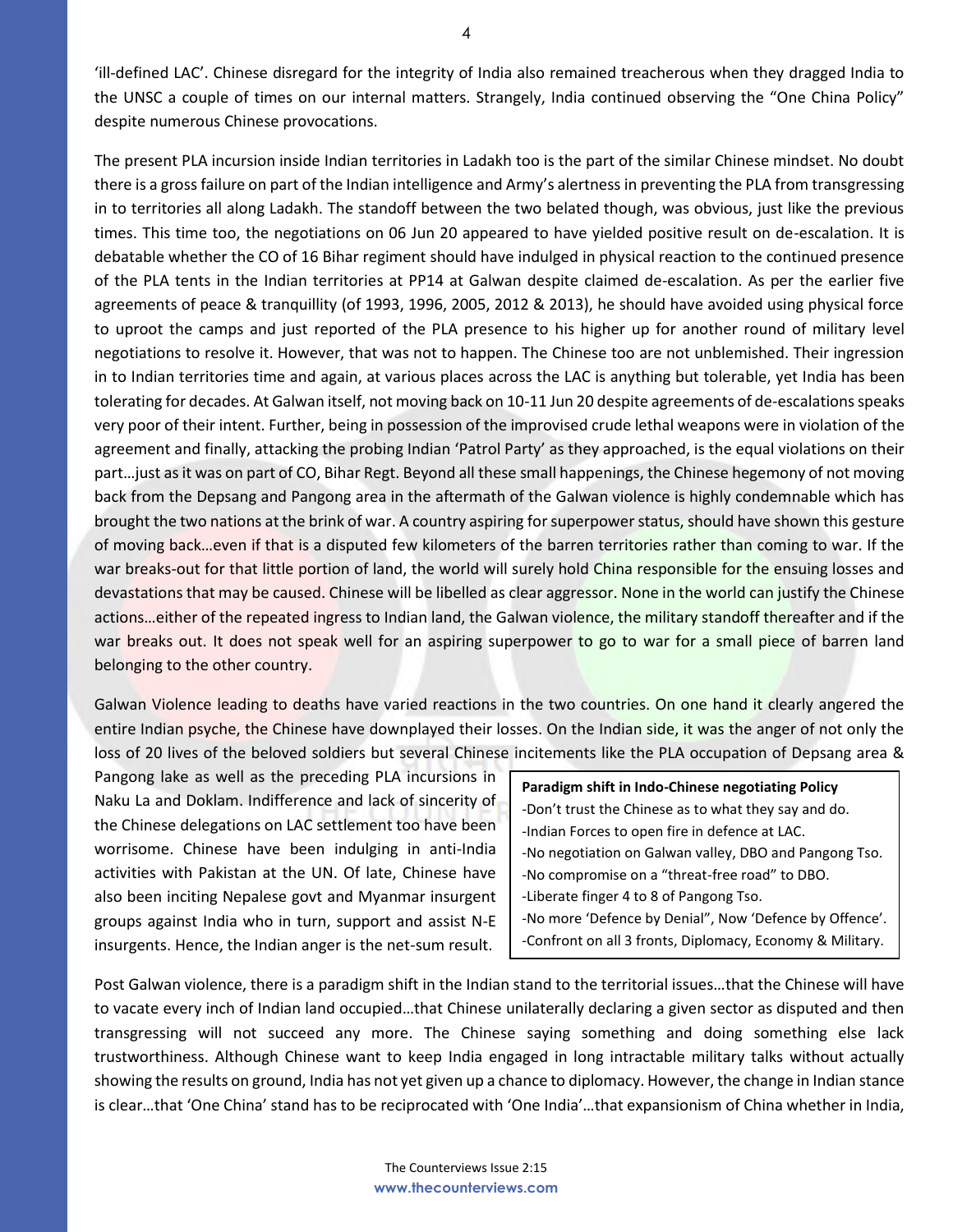'ill-defined LAC'. Chinese disregard for the integrity of India also remained treacherous when they dragged India to the UNSC a couple of times on our internal matters. Strangely, India continued observing the "One China Policy" despite numerous Chinese provocations.

The present PLA incursion inside Indian territories in Ladakh too is the part of the similar Chinese mindset. No doubt there is a gross failure on part of the Indian intelligence and Army's alertness in preventing the PLA from transgressing in to territories all along Ladakh. The standoff between the two belated though, was obvious, just like the previous times. This time too, the negotiations on 06 Jun 20 appeared to have yielded positive result on de-escalation. It is debatable whether the CO of 16 Bihar regiment should have indulged in physical reaction to the continued presence of the PLA tents in the Indian territories at PP14 at Galwan despite claimed de-escalation. As per the earlier five agreements of peace & tranquillity (of 1993, 1996, 2005, 2012 & 2013), he should have avoided using physical force to uproot the camps and just reported of the PLA presence to his higher up for another round of military level negotiations to resolve it. However, that was not to happen. The Chinese too are not unblemished. Their ingression in to Indian territories time and again, at various places across the LAC is anything but tolerable, yet India has been tolerating for decades. At Galwan itself, not moving back on 10-11 Jun 20 despite agreements of de-escalations speaks very poor of their intent. Further, being in possession of the improvised crude lethal weapons were in violation of the agreement and finally, attacking the probing Indian 'Patrol Party' as they approached, is the equal violations on their part…just as it was on part of CO, Bihar Regt. Beyond all these small happenings, the Chinese hegemony of not moving back from the Depsang and Pangong area in the aftermath of the Galwan violence is highly condemnable which has brought the two nations at the brink of war. A country aspiring for superpower status, should have shown this gesture of moving back…even if that is a disputed few kilometers of the barren territories rather than coming to war. If the war breaks-out for that little portion of land, the world will surely hold China responsible for the ensuing losses and devastations that may be caused. Chinese will be libelled as clear aggressor. None in the world can justify the Chinese actions…either of the repeated ingress to Indian land, the Galwan violence, the military standoff thereafter and if the war breaks out. It does not speak well for an aspiring superpower to go to war for a small piece of barren land belonging to the other country.

Galwan Violence leading to deaths have varied reactions in the two countries. On one hand it clearly angered the entire Indian psyche, the Chinese have downplayed their losses. On the Indian side, it was the anger of not only the loss of 20 lives of the beloved soldiers but several Chinese incitements like the PLA occupation of Depsang area &

Pangong lake as well as the preceding PLA incursions in Naku La and Doklam. Indifference and lack of sincerity of the Chinese delegations on LAC settlement too have been worrisome. Chinese have been indulging in anti-India activities with Pakistan at the UN. Of late, Chinese have also been inciting Nepalese govt and Myanmar insurgent groups against India who in turn, support and assist N-E insurgents. Hence, the Indian anger is the net-sum result.

**Paradigm shift in Indo-Chinese negotiating Policy**  -Don't trust the Chinese as to what they say and do. -Indian Forces to open fire in defence at LAC. -No negotiation on Galwan valley, DBO and Pangong Tso. -No compromise on a "threat-free road" to DBO. -Liberate finger 4 to 8 of Pangong Tso. -No more 'Defence by Denial", Now 'Defence by Offence'. -Confront on all 3 fronts, Diplomacy, Economy & Military.

Post Galwan violence, there is a paradigm shift in the Indian stand to the territorial issues…that the Chinese will have to vacate every inch of Indian land occupied...that Chinese unilaterally declaring a given sector as disputed and then transgressing will not succeed any more. The Chinese saying something and doing something else lack trustworthiness. Although Chinese want to keep India engaged in long intractable military talks without actually showing the results on ground, India has not yet given up a chance to diplomacy. However, the change in Indian stance is clear…that 'One China' stand has to be reciprocated with 'One India'…that expansionism of China whether in India,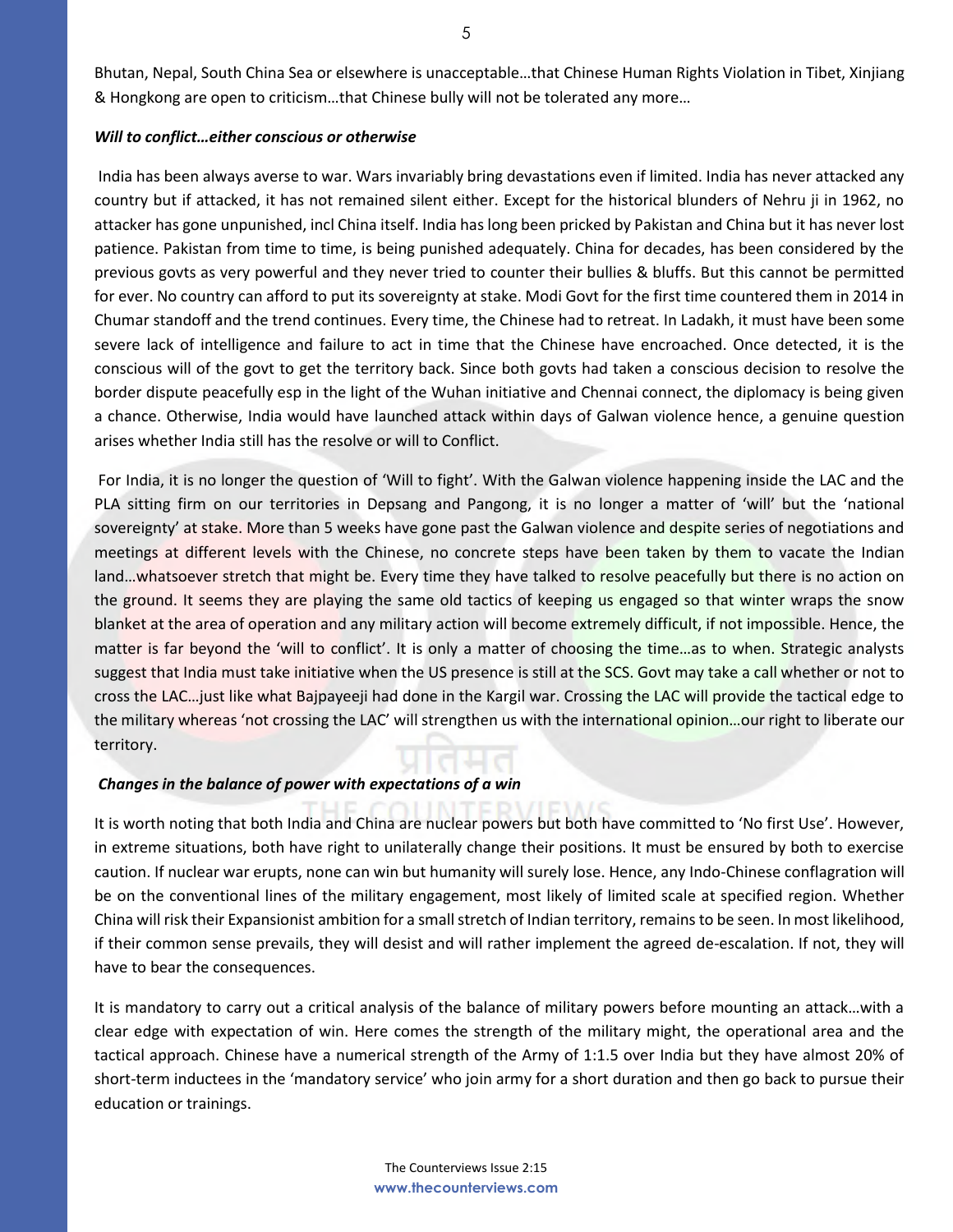Bhutan, Nepal, South China Sea or elsewhere is unacceptable…that Chinese Human Rights Violation in Tibet, Xinjiang & Hongkong are open to criticism…that Chinese bully will not be tolerated any more…

### *Will to conflict…either conscious or otherwise*

India has been always averse to war. Wars invariably bring devastations even if limited. India has never attacked any country but if attacked, it has not remained silent either. Except for the historical blunders of Nehru ji in 1962, no attacker has gone unpunished, incl China itself. India has long been pricked by Pakistan and China but it has never lost patience. Pakistan from time to time, is being punished adequately. China for decades, has been considered by the previous govts as very powerful and they never tried to counter their bullies & bluffs. But this cannot be permitted for ever. No country can afford to put its sovereignty at stake. Modi Govt for the first time countered them in 2014 in Chumar standoff and the trend continues. Every time, the Chinese had to retreat. In Ladakh, it must have been some severe lack of intelligence and failure to act in time that the Chinese have encroached. Once detected, it is the conscious will of the govt to get the territory back. Since both govts had taken a conscious decision to resolve the border dispute peacefully esp in the light of the Wuhan initiative and Chennai connect, the diplomacy is being given a chance. Otherwise, India would have launched attack within days of Galwan violence hence, a genuine question arises whether India still has the resolve or will to Conflict.

For India, it is no longer the question of 'Will to fight'. With the Galwan violence happening inside the LAC and the PLA sitting firm on our territories in Depsang and Pangong, it is no longer a matter of 'will' but the 'national sovereignty' at stake. More than 5 weeks have gone past the Galwan violence and despite series of negotiations and meetings at different levels with the Chinese, no concrete steps have been taken by them to vacate the Indian land…whatsoever stretch that might be. Every time they have talked to resolve peacefully but there is no action on the ground. It seems they are playing the same old tactics of keeping us engaged so that winter wraps the snow blanket at the area of operation and any military action will become extremely difficult, if not impossible. Hence, the matter is far beyond the 'will to conflict'. It is only a matter of choosing the time…as to when. Strategic analysts suggest that India must take initiative when the US presence is still at the SCS. Govt may take a call whether or not to cross the LAC…just like what Bajpayeeji had done in the Kargil war. Crossing the LAC will provide the tactical edge to the military whereas 'not crossing the LAC' will strengthen us with the international opinion…our right to liberate our territory.

### *Changes in the balance of power with expectations of a win*

It is worth noting that both India and China are nuclear powers but both have committed to 'No first Use'. However, in extreme situations, both have right to unilaterally change their positions. It must be ensured by both to exercise caution. If nuclear war erupts, none can win but humanity will surely lose. Hence, any Indo-Chinese conflagration will be on the conventional lines of the military engagement, most likely of limited scale at specified region. Whether China will risk their Expansionist ambition for a small stretch of Indian territory, remains to be seen. In most likelihood, if their common sense prevails, they will desist and will rather implement the agreed de-escalation. If not, they will have to bear the consequences.

It is mandatory to carry out a critical analysis of the balance of military powers before mounting an attack…with a clear edge with expectation of win. Here comes the strength of the military might, the operational area and the tactical approach. Chinese have a numerical strength of the Army of 1:1.5 over India but they have almost 20% of short-term inductees in the 'mandatory service' who join army for a short duration and then go back to pursue their education or trainings.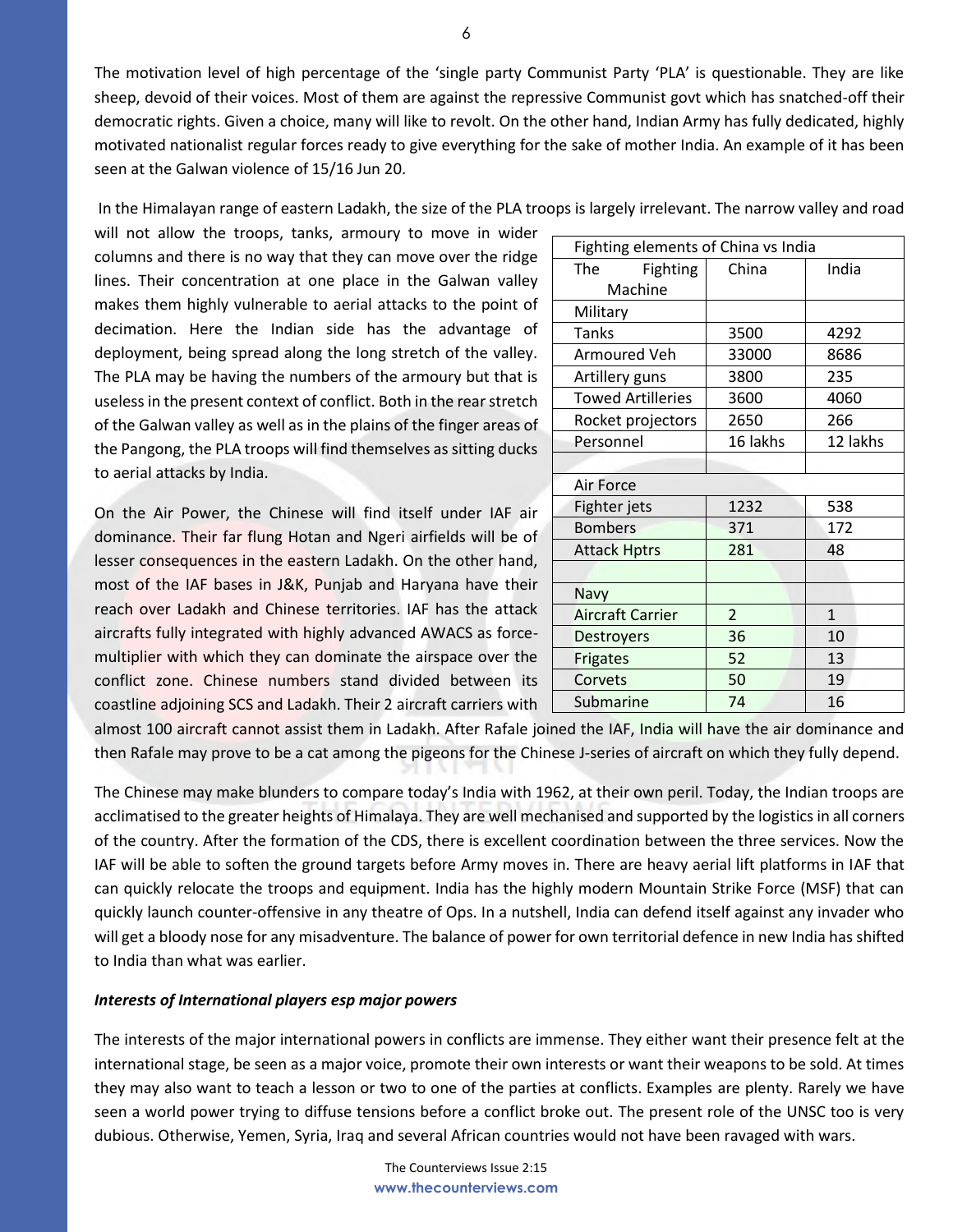The motivation level of high percentage of the 'single party Communist Party 'PLA' is questionable. They are like sheep, devoid of their voices. Most of them are against the repressive Communist govt which has snatched-off their democratic rights. Given a choice, many will like to revolt. On the other hand, Indian Army has fully dedicated, highly motivated nationalist regular forces ready to give everything for the sake of mother India. An example of it has been seen at the Galwan violence of 15/16 Jun 20.

In the Himalayan range of eastern Ladakh, the size of the PLA troops is largely irrelevant. The narrow valley and road

will not allow the troops, tanks, armoury to move in wider columns and there is no way that they can move over the ridge lines. Their concentration at one place in the Galwan valley makes them highly vulnerable to aerial attacks to the point of decimation. Here the Indian side has the advantage of deployment, being spread along the long stretch of the valley. The PLA may be having the numbers of the armoury but that is useless in the present context of conflict. Both in the rear stretch of the Galwan valley as well as in the plains of the finger areas of the Pangong, the PLA troops will find themselves as sitting ducks to aerial attacks by India.

On the Air Power, the Chinese will find itself under IAF air dominance. Their far flung Hotan and Ngeri airfields will be of lesser consequences in the eastern Ladakh. On the other hand, most of the IAF bases in J&K, Punjab and Haryana have their reach over Ladakh and Chinese territories. IAF has the attack aircrafts fully integrated with highly advanced AWACS as forcemultiplier with which they can dominate the airspace over the conflict zone. Chinese numbers stand divided between its coastline adjoining SCS and Ladakh. Their 2 aircraft carriers with

| Fighting elements of China vs India |                |          |
|-------------------------------------|----------------|----------|
| The<br>Fighting                     | China          | India    |
| Machine                             |                |          |
| Military                            |                |          |
| <b>Tanks</b>                        | 3500           | 4292     |
| Armoured Veh                        | 33000          | 8686     |
| Artillery guns                      | 3800           | 235      |
| <b>Towed Artilleries</b>            | 3600           | 4060     |
| Rocket projectors                   | 2650           | 266      |
| Personnel                           | 16 lakhs       | 12 lakhs |
|                                     |                |          |
| Air Force                           |                |          |
| Fighter jets                        | 1232           | 538      |
| <b>Bombers</b>                      | 371            | 172      |
| <b>Attack Hptrs</b>                 | 281            | 48       |
|                                     |                |          |
| Navy                                |                |          |
| <b>Aircraft Carrier</b>             | $\overline{2}$ | 1        |
| <b>Destroyers</b>                   | 36             | 10       |
| Frigates                            | 52             | 13       |
| Corvets                             | 50             | 19       |
| Submarine                           | 74             | 16       |

almost 100 aircraft cannot assist them in Ladakh. After Rafale joined the IAF, India will have the air dominance and then Rafale may prove to be a cat among the pigeons for the Chinese J-series of aircraft on which they fully depend.

The Chinese may make blunders to compare today's India with 1962, at their own peril. Today, the Indian troops are acclimatised to the greater heights of Himalaya. They are well mechanised and supported by the logistics in all corners of the country. After the formation of the CDS, there is excellent coordination between the three services. Now the IAF will be able to soften the ground targets before Army moves in. There are heavy aerial lift platforms in IAF that can quickly relocate the troops and equipment. India has the highly modern Mountain Strike Force (MSF) that can quickly launch counter-offensive in any theatre of Ops. In a nutshell, India can defend itself against any invader who will get a bloody nose for any misadventure. The balance of power for own territorial defence in new India has shifted to India than what was earlier.

### *Interests of International players esp major powers*

The interests of the major international powers in conflicts are immense. They either want their presence felt at the international stage, be seen as a major voice, promote their own interests or want their weapons to be sold. At times they may also want to teach a lesson or two to one of the parties at conflicts. Examples are plenty. Rarely we have seen a world power trying to diffuse tensions before a conflict broke out. The present role of the UNSC too is very dubious. Otherwise, Yemen, Syria, Iraq and several African countries would not have been ravaged with wars.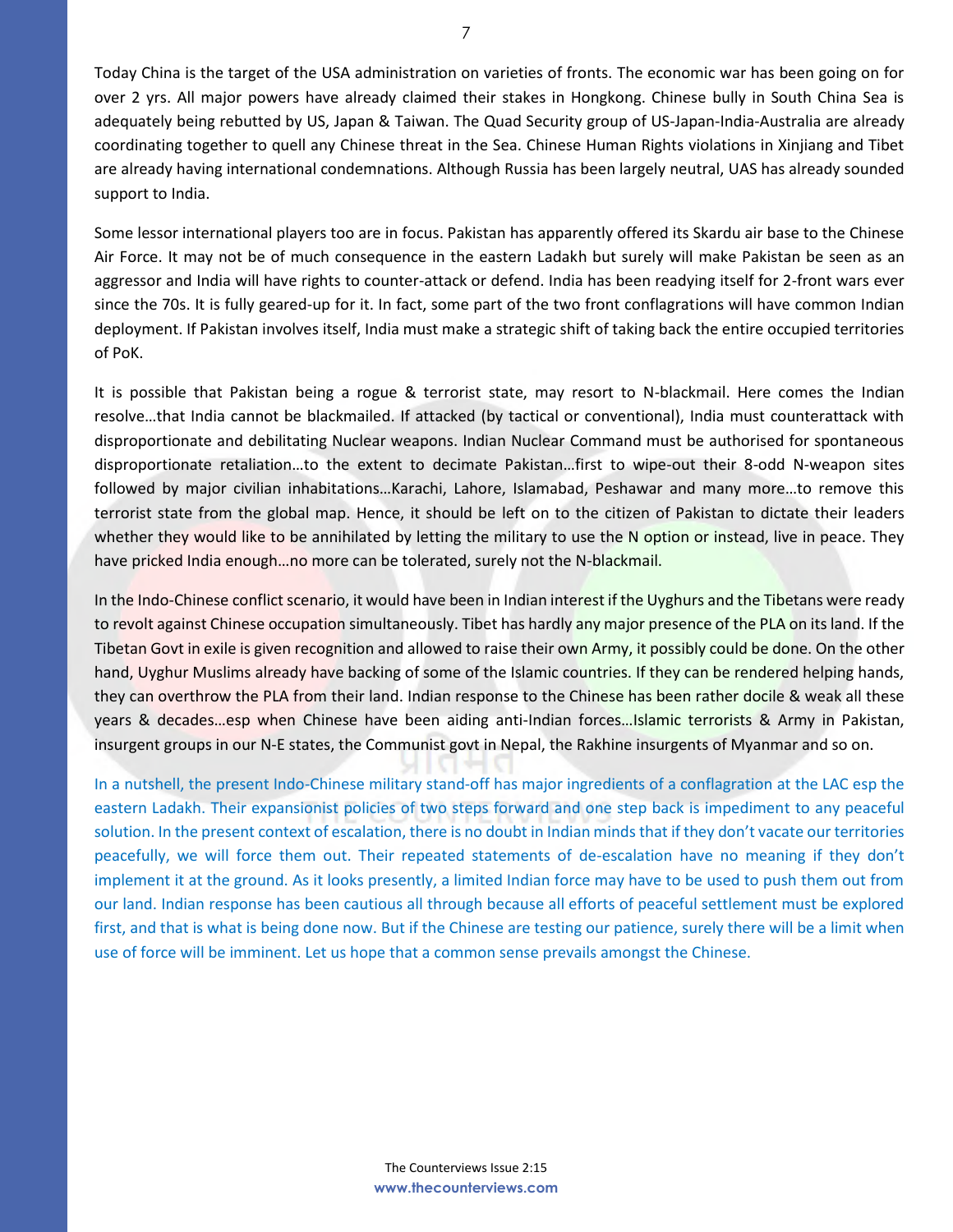Today China is the target of the USA administration on varieties of fronts. The economic war has been going on for over 2 yrs. All major powers have already claimed their stakes in Hongkong. Chinese bully in South China Sea is adequately being rebutted by US, Japan & Taiwan. The Quad Security group of US-Japan-India-Australia are already coordinating together to quell any Chinese threat in the Sea. Chinese Human Rights violations in Xinjiang and Tibet are already having international condemnations. Although Russia has been largely neutral, UAS has already sounded support to India.

Some lessor international players too are in focus. Pakistan has apparently offered its Skardu air base to the Chinese Air Force. It may not be of much consequence in the eastern Ladakh but surely will make Pakistan be seen as an aggressor and India will have rights to counter-attack or defend. India has been readying itself for 2-front wars ever since the 70s. It is fully geared-up for it. In fact, some part of the two front conflagrations will have common Indian deployment. If Pakistan involves itself, India must make a strategic shift of taking back the entire occupied territories of PoK.

It is possible that Pakistan being a rogue & terrorist state, may resort to N-blackmail. Here comes the Indian resolve…that India cannot be blackmailed. If attacked (by tactical or conventional), India must counterattack with disproportionate and debilitating Nuclear weapons. Indian Nuclear Command must be authorised for spontaneous disproportionate retaliation…to the extent to decimate Pakistan…first to wipe-out their 8-odd N-weapon sites followed by major civilian inhabitations…Karachi, Lahore, Islamabad, Peshawar and many more…to remove this terrorist state from the global map. Hence, it should be left on to the citizen of Pakistan to dictate their leaders whether they would like to be annihilated by letting the military to use the N option or instead, live in peace. They have pricked India enough...no more can be tolerated, surely not the N-blackmail.

In the Indo-Chinese conflict scenario, it would have been in Indian interest if the Uyghurs and the Tibetans were ready to revolt against Chinese occupation simultaneously. Tibet has hardly any major presence of the PLA on its land. If the Tibetan Govt in exile is given recognition and allowed to raise their own Army, it possibly could be done. On the other hand, Uyghur Muslims already have backing of some of the Islamic countries. If they can be rendered helping hands, they can overthrow the PLA from their land. Indian response to the Chinese has been rather docile & weak all these years & decades…esp when Chinese have been aiding anti-Indian forces…Islamic terrorists & Army in Pakistan, insurgent groups in our N-E states, the Communist govt in Nepal, the Rakhine insurgents of Myanmar and so on.

In a nutshell, the present Indo-Chinese military stand-off has major ingredients of a conflagration at the LAC esp the eastern Ladakh. Their expansionist policies of two steps forward and one step back is impediment to any peaceful solution. In the present context of escalation, there is no doubt in Indian minds that if they don't vacate our territories peacefully, we will force them out. Their repeated statements of de-escalation have no meaning if they don't implement it at the ground. As it looks presently, a limited Indian force may have to be used to push them out from our land. Indian response has been cautious all through because all efforts of peaceful settlement must be explored first, and that is what is being done now. But if the Chinese are testing our patience, surely there will be a limit when use of force will be imminent. Let us hope that a common sense prevails amongst the Chinese.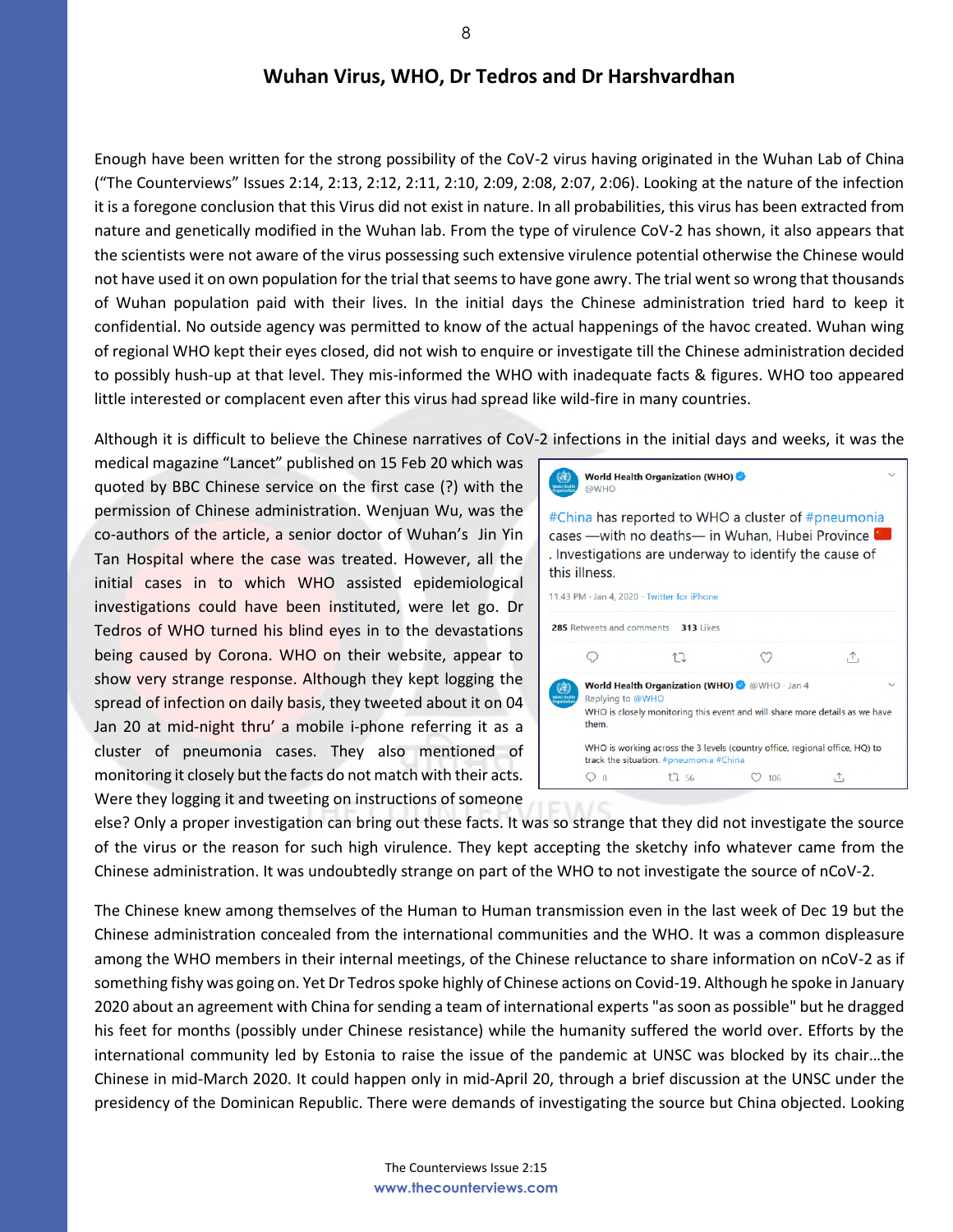Enough have been written for the strong possibility of the CoV-2 virus having originated in the Wuhan Lab of China ("The Counterviews" Issues 2:14, 2:13, 2:12, 2:11, 2:10, 2:09, 2:08, 2:07, 2:06). Looking at the nature of the infection it is a foregone conclusion that this Virus did not exist in nature. In all probabilities, this virus has been extracted from nature and genetically modified in the Wuhan lab. From the type of virulence CoV-2 has shown, it also appears that the scientists were not aware of the virus possessing such extensive virulence potential otherwise the Chinese would not have used it on own population for the trial that seems to have gone awry. The trial went so wrong that thousands of Wuhan population paid with their lives. In the initial days the Chinese administration tried hard to keep it confidential. No outside agency was permitted to know of the actual happenings of the havoc created. Wuhan wing of regional WHO kept their eyes closed, did not wish to enquire or investigate till the Chinese administration decided to possibly hush-up at that level. They mis-informed the WHO with inadequate facts & figures. WHO too appeared little interested or complacent even after this virus had spread like wild-fire in many countries.

Although it is difficult to believe the Chinese narratives of CoV-2 infections in the initial days and weeks, it was the

medical magazine "Lancet" published on 15 Feb 20 which was quoted by BBC Chinese service on the first case (?) with the permission of Chinese administration. Wenjuan Wu, was the co-authors of the article, a senior doctor of Wuhan's Jin Yin Tan Hospital where the case was treated. However, all the initial cases in to which WHO assisted epidemiological investigations could have been instituted, were let go. Dr Tedros of WHO turned his blind eyes in to the devastations being caused by Corona. WHO on their website, appear to show very strange response. Although they kept logging the spread of infection on daily basis, they tweeted about it on 04 Jan 20 at mid-night thru' a mobile i-phone referring it as a cluster of pneumonia cases. They also mentioned of monitoring it closely but the facts do not match with their acts. Were they logging it and tweeting on instructions of someone



else? Only a proper investigation can bring out these facts. It was so strange that they did not investigate the source of the virus or the reason for such high virulence. They kept accepting the sketchy info whatever came from the Chinese administration. It was undoubtedly strange on part of the WHO to not investigate the source of nCoV-2.

The Chinese knew among themselves of the Human to Human transmission even in the last week of Dec 19 but the Chinese administration concealed from the international communities and the WHO. It was a common displeasure among the WHO members in their internal meetings, of the Chinese reluctance to share information on nCoV-2 as if something fishy was going on. Yet Dr Tedros spoke highly of Chinese actions on Covid-19. Although he spoke in January 2020 about an agreement with China for sending a team of international experts "as soon as possible" but he dragged his feet for months (possibly under Chinese resistance) while the humanity suffered the world over. Efforts by the international community led by Estonia to raise the issue of the pandemic at UNSC was blocked by its chair…the Chinese in mid-March 2020. It could happen only in mid-April 20, through a brief discussion at the UNSC under the presidency of the Dominican Republic. There were demands of investigating the source but China objected. Looking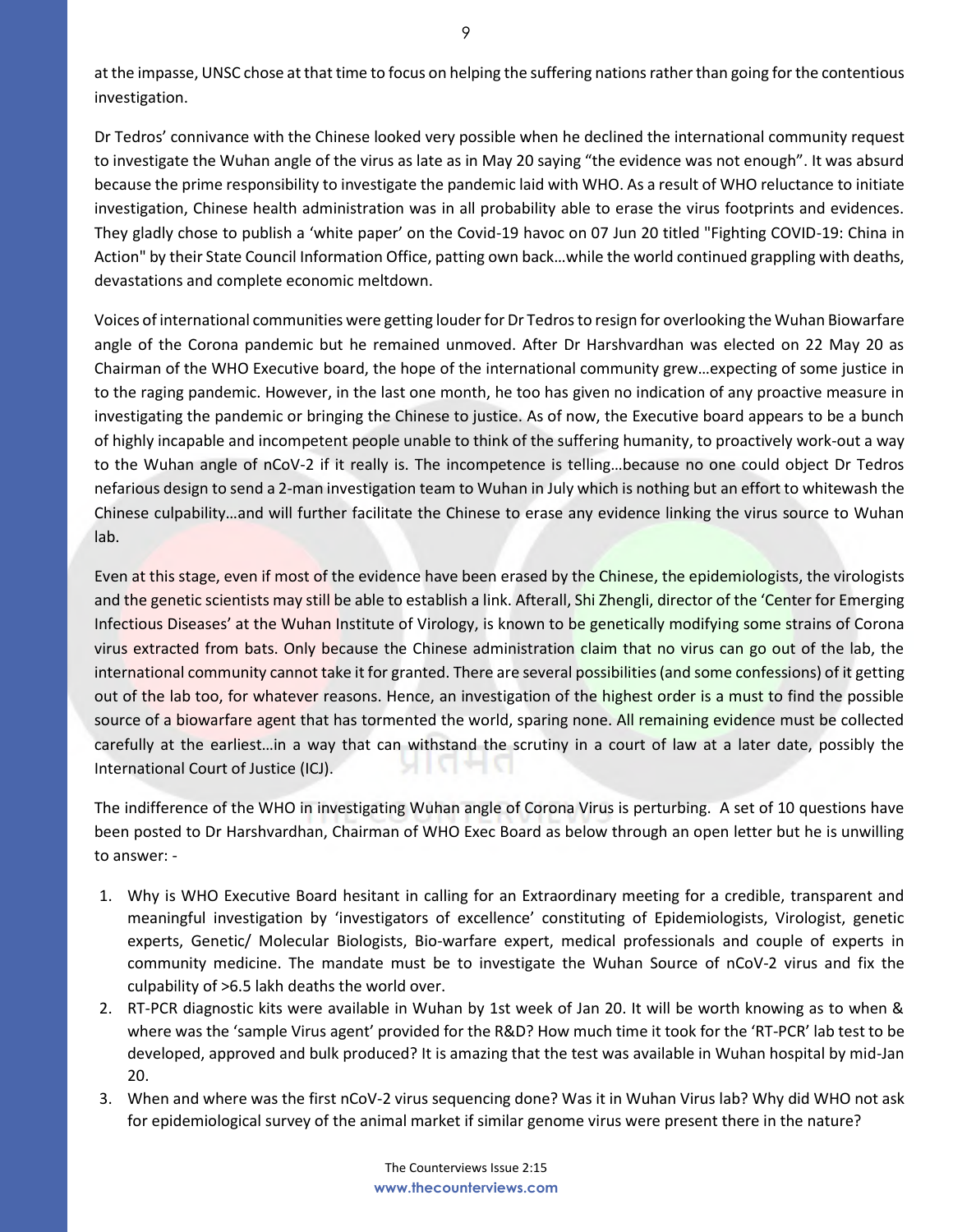at the impasse, UNSC chose at that time to focus on helping the suffering nations rather than going for the contentious investigation.

Dr Tedros' connivance with the Chinese looked very possible when he declined the international community request to investigate the Wuhan angle of the virus as late as in May 20 saying "the evidence was not enough". It was absurd because the prime responsibility to investigate the pandemic laid with WHO. As a result of WHO reluctance to initiate investigation, Chinese health administration was in all probability able to erase the virus footprints and evidences. They gladly chose to publish a 'white paper' on the Covid-19 havoc on 07 Jun 20 titled "Fighting COVID-19: China in Action" by their State Council Information Office, patting own back…while the world continued grappling with deaths, devastations and complete economic meltdown.

Voices of international communities were getting louder for Dr Tedros to resign for overlooking the Wuhan Biowarfare angle of the Corona pandemic but he remained unmoved. After Dr Harshvardhan was elected on 22 May 20 as Chairman of the WHO Executive board, the hope of the international community grew…expecting of some justice in to the raging pandemic. However, in the last one month, he too has given no indication of any proactive measure in investigating the pandemic or bringing the Chinese to justice. As of now, the Executive board appears to be a bunch of highly incapable and incompetent people unable to think of the suffering humanity, to proactively work-out a way to the Wuhan angle of nCoV-2 if it really is. The incompetence is telling…because no one could object Dr Tedros nefarious design to send a 2-man investigation team to Wuhan in July which is nothing but an effort to whitewash the Chinese culpability…and will further facilitate the Chinese to erase any evidence linking the virus source to Wuhan lab.

Even at this stage, even if most of the evidence have been erased by the Chinese, the epidemiologists, the virologists and the genetic scientists may still be able to establish a link. Afterall, Shi Zhengli, director of the 'Center for Emerging Infectious Diseases' at the Wuhan Institute of Virology, is known to be genetically modifying some strains of Corona virus extracted from bats. Only because the Chinese administration claim that no virus can go out of the lab, the international community cannot take it for granted. There are several possibilities (and some confessions) of it getting out of the lab too, for whatever reasons. Hence, an investigation of the highest order is a must to find the possible source of a biowarfare agent that has tormented the world, sparing none. All remaining evidence must be collected carefully at the earliest…in a way that can withstand the scrutiny in a court of law at a later date, possibly the International Court of Justice (ICJ). MINI 99 M

The indifference of the WHO in investigating Wuhan angle of Corona Virus is perturbing. A set of 10 questions have been posted to Dr Harshvardhan, Chairman of WHO Exec Board as below through an open letter but he is unwilling to answer: -

- 1. Why is WHO Executive Board hesitant in calling for an Extraordinary meeting for a credible, transparent and meaningful investigation by 'investigators of excellence' constituting of Epidemiologists, Virologist, genetic experts, Genetic/ Molecular Biologists, Bio-warfare expert, medical professionals and couple of experts in community medicine. The mandate must be to investigate the Wuhan Source of nCoV-2 virus and fix the culpability of >6.5 lakh deaths the world over.
- 2. RT-PCR diagnostic kits were available in Wuhan by 1st week of Jan 20. It will be worth knowing as to when & where was the 'sample Virus agent' provided for the R&D? How much time it took for the 'RT-PCR' lab test to be developed, approved and bulk produced? It is amazing that the test was available in Wuhan hospital by mid-Jan 20.
- 3. When and where was the first nCoV-2 virus sequencing done? Was it in Wuhan Virus lab? Why did WHO not ask for epidemiological survey of the animal market if similar genome virus were present there in the nature?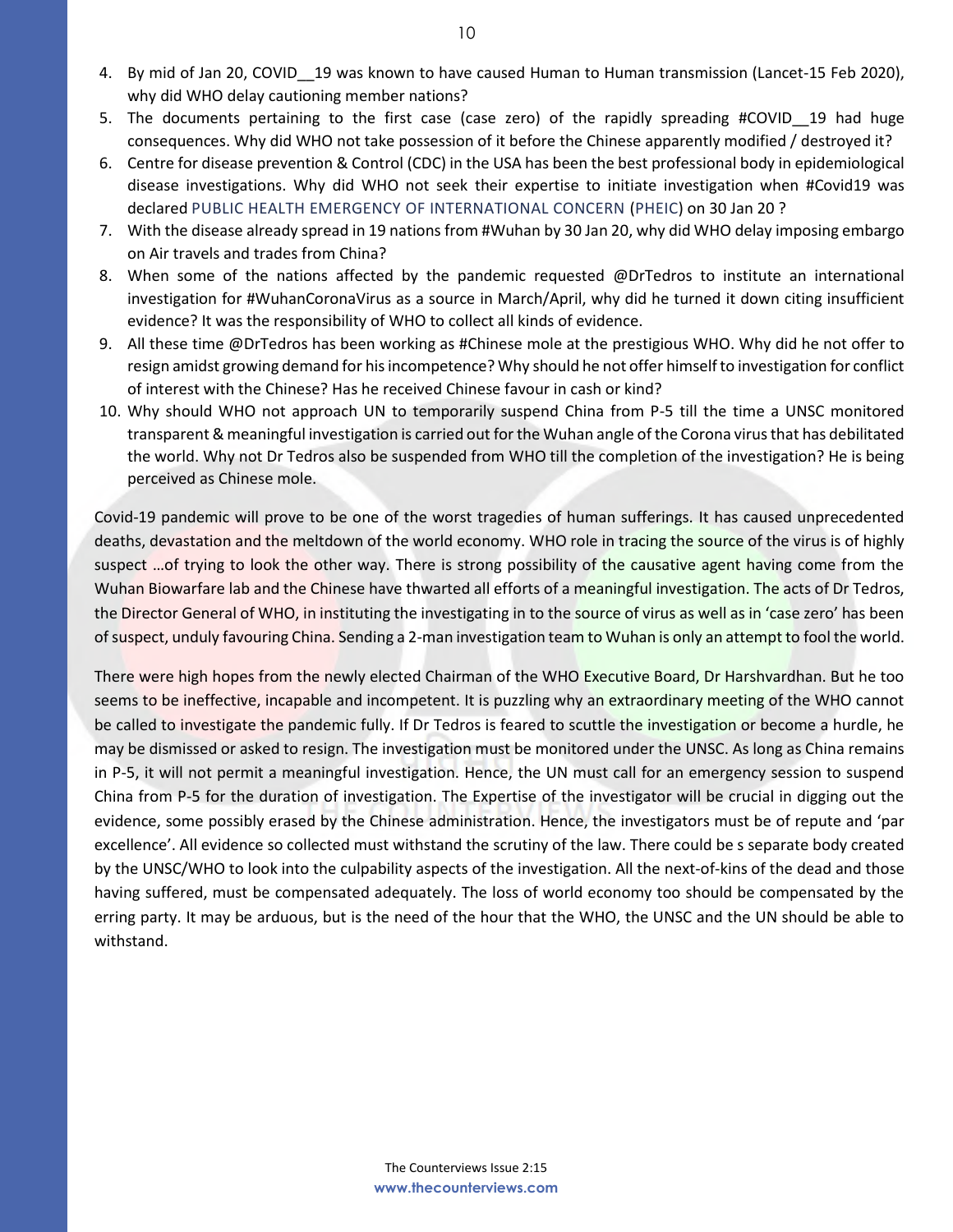- 4. By mid of Jan 20, COVID\_\_19 was known to have caused Human to Human transmission (Lancet-15 Feb 2020), why did WHO delay cautioning member nations?
- 5. The documents pertaining to the first case (case zero) of the rapidly spreading #COVID 19 had huge consequences. Why did WHO not take possession of it before the Chinese apparently modified / destroyed it?
- 6. Centre for disease prevention & Control (CDC) in the USA has been the best professional body in epidemiological disease investigations. Why did WHO not seek their expertise to initiate investigation when #Covid19 was declared PUBLIC HEALTH EMERGENCY OF INTERNATIONAL CONCERN (PHEIC) on 30 Jan 20 ?
- 7. With the disease already spread in 19 nations from #Wuhan by 30 Jan 20, why did WHO delay imposing embargo on Air travels and trades from China?
- 8. When some of the nations affected by the pandemic requested @DrTedros to institute an international investigation for #WuhanCoronaVirus as a source in March/April, why did he turned it down citing insufficient evidence? It was the responsibility of WHO to collect all kinds of evidence.
- 9. All these time @DrTedros has been working as #Chinese mole at the prestigious WHO. Why did he not offer to resign amidst growing demand for his incompetence? Why should he not offer himself to investigation for conflict of interest with the Chinese? Has he received Chinese favour in cash or kind?
- 10. Why should WHO not approach UN to temporarily suspend China from P-5 till the time a UNSC monitored transparent & meaningful investigation is carried out for the Wuhan angle of the Corona virus that has debilitated the world. Why not Dr Tedros also be suspended from WHO till the completion of the investigation? He is being perceived as Chinese mole.

Covid-19 pandemic will prove to be one of the worst tragedies of human sufferings. It has caused unprecedented deaths, devastation and the meltdown of the world economy. WHO role in tracing the source of the virus is of highly suspect ... of trying to look the other way. There is strong possibility of the causative agent having come from the Wuhan Biowarfare lab and the Chinese have thwarted all efforts of a meaningful investigation. The acts of Dr Tedros, the Director General of WHO, in instituting the investigating in to the source of virus as well as in 'case zero' has been of suspect, unduly favouring China. Sending a 2-man investigation team to Wuhan is only an attempt to fool the world.

There were high hopes from the newly elected Chairman of the WHO Executive Board, Dr Harshvardhan. But he too seems to be ineffective, incapable and incompetent. It is puzzling why an extraordinary meeting of the WHO cannot be called to investigate the pandemic fully. If Dr Tedros is feared to scuttle the investigation or become a hurdle, he may be dismissed or asked to resign. The investigation must be monitored under the UNSC. As long as China remains in P-5, it will not permit a meaningful investigation. Hence, the UN must call for an emergency session to suspend China from P-5 for the duration of investigation. The Expertise of the investigator will be crucial in digging out the evidence, some possibly erased by the Chinese administration. Hence, the investigators must be of repute and 'par excellence'. All evidence so collected must withstand the scrutiny of the law. There could be s separate body created by the UNSC/WHO to look into the culpability aspects of the investigation. All the next-of-kins of the dead and those having suffered, must be compensated adequately. The loss of world economy too should be compensated by the erring party. It may be arduous, but is the need of the hour that the WHO, the UNSC and the UN should be able to withstand.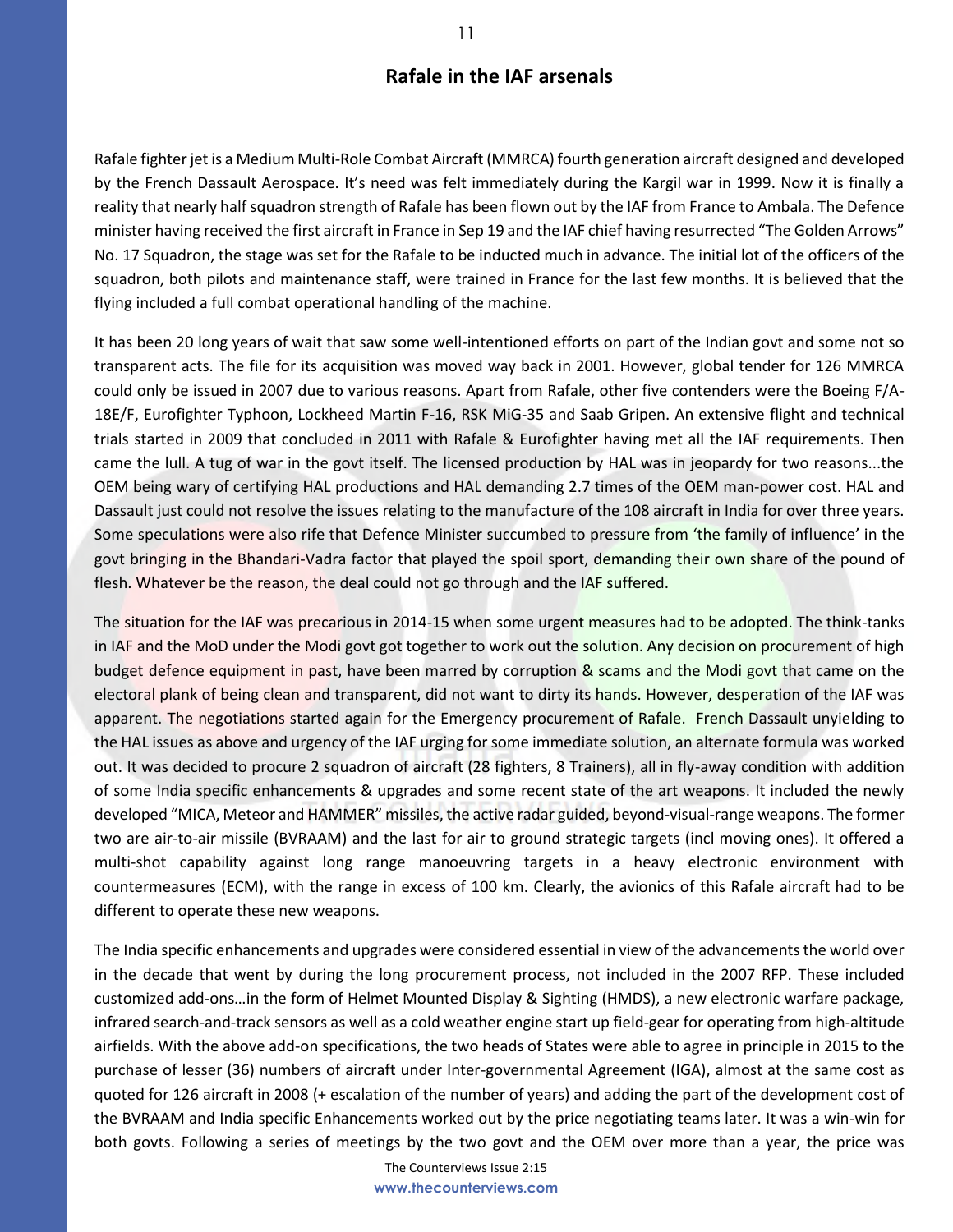## **Rafale in the IAF arsenals**

Rafale fighter jet is a Medium Multi-Role Combat Aircraft (MMRCA) fourth generation aircraft designed and developed by the French Dassault Aerospace. It's need was felt immediately during the Kargil war in 1999. Now it is finally a reality that nearly halfsquadron strength of Rafale has been flown out by the IAF from France to Ambala. The Defence minister having received the first aircraft in France in Sep 19 and the IAF chief having resurrected "The Golden Arrows" No. 17 Squadron, the stage was set for the Rafale to be inducted much in advance. The initial lot of the officers of the squadron, both pilots and maintenance staff, were trained in France for the last few months. It is believed that the flying included a full combat operational handling of the machine.

It has been 20 long years of wait that saw some well-intentioned efforts on part of the Indian govt and some not so transparent acts. The file for its acquisition was moved way back in 2001. However, global tender for 126 MMRCA could only be issued in 2007 due to various reasons. Apart from Rafale, other five contenders were the Boeing F/A-18E/F, Eurofighter Typhoon, Lockheed Martin F-16, RSK MiG-35 and Saab Gripen. An extensive flight and technical trials started in 2009 that concluded in 2011 with Rafale & Eurofighter having met all the IAF requirements. Then came the lull. A tug of war in the govt itself. The licensed production by HAL was in jeopardy for two reasons...the OEM being wary of certifying HAL productions and HAL demanding 2.7 times of the OEM man-power cost. HAL and Dassault just could not resolve the issues relating to the manufacture of the 108 aircraft in India for over three years. Some speculations were also rife that Defence Minister succumbed to pressure from 'the family of influence' in the govt bringing in the Bhandari-Vadra factor that played the spoil sport, demanding their own share of the pound of flesh. Whatever be the reason, the deal could not go through and the IAF suffered.

The situation for the IAF was precarious in 2014-15 when some urgent measures had to be adopted. The think-tanks in IAF and the MoD under the Modi govt got together to work out the solution. Any decision on procurement of high budget defence equipment in past, have been marred by corruption & scams and the Modi govt that came on the electoral plank of being clean and transparent, did not want to dirty its hands. However, desperation of the IAF was apparent. The negotiations started again for the Emergency procurement of Rafale. French Dassault unyielding to the HAL issues as above and urgency of the IAF urging for some immediate solution, an alternate formula was worked out. It was decided to procure 2 squadron of aircraft (28 fighters, 8 Trainers), all in fly-away condition with addition of some India specific enhancements & upgrades and some recent state of the art weapons. It included the newly developed "MICA, Meteor and HAMMER" missiles, the active radar guided, beyond-visual-range weapons. The former two are air-to-air missile (BVRAAM) and the last for air to ground strategic targets (incl moving ones). It offered a multi-shot capability against long range manoeuvring targets in a heavy electronic environment with countermeasures (ECM), with the range in excess of 100 km. Clearly, the avionics of this Rafale aircraft had to be different to operate these new weapons.

The India specific enhancements and upgrades were considered essential in view of the advancements the world over in the decade that went by during the long procurement process, not included in the 2007 RFP. These included customized add-ons…in the form of Helmet Mounted Display & Sighting (HMDS), a new electronic warfare package, infrared search-and-track sensors as well as a cold weather engine start up field-gear for operating from high-altitude airfields. With the above add-on specifications, the two heads of States were able to agree in principle in 2015 to the purchase of lesser (36) numbers of aircraft under Inter-governmental Agreement (IGA), almost at the same cost as quoted for 126 aircraft in 2008 (+ escalation of the number of years) and adding the part of the development cost of the BVRAAM and India specific Enhancements worked out by the price negotiating teams later. It was a win-win for both govts. Following a series of meetings by the two govt and the OEM over more than a year, the price was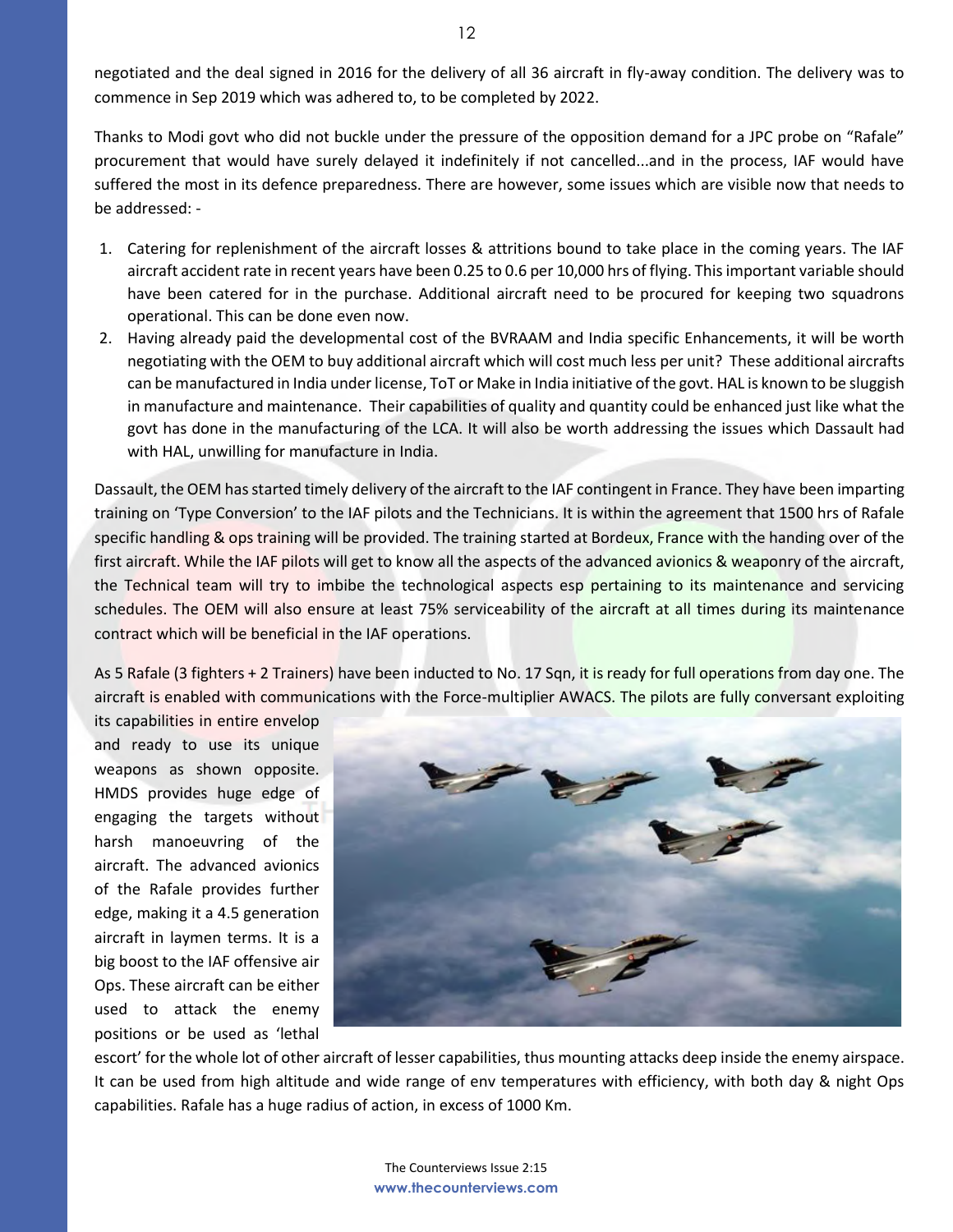Thanks to Modi govt who did not buckle under the pressure of the opposition demand for a JPC probe on "Rafale" procurement that would have surely delayed it indefinitely if not cancelled...and in the process, IAF would have suffered the most in its defence preparedness. There are however, some issues which are visible now that needs to be addressed: -

- 1. Catering for replenishment of the aircraft losses & attritions bound to take place in the coming years. The IAF aircraft accident rate in recent years have been 0.25 to 0.6 per 10,000 hrs of flying. This important variable should have been catered for in the purchase. Additional aircraft need to be procured for keeping two squadrons operational. This can be done even now.
- 2. Having already paid the developmental cost of the BVRAAM and India specific Enhancements, it will be worth negotiating with the OEM to buy additional aircraft which will cost much less per unit? These additional aircrafts can be manufactured in India under license, ToT or Make in India initiative of the govt. HAL is known to be sluggish in manufacture and maintenance. Their capabilities of quality and quantity could be enhanced just like what the govt has done in the manufacturing of the LCA. It will also be worth addressing the issues which Dassault had with HAL, unwilling for manufacture in India.

Dassault, the OEM has started timely delivery of the aircraft to the IAF contingent in France. They have been imparting training on 'Type Conversion' to the IAF pilots and the Technicians. It is within the agreement that 1500 hrs of Rafale specific handling & ops training will be provided. The training started at Bordeux, France with the handing over of the first aircraft. While the IAF pilots will get to know all the aspects of the advanced avionics & weaponry of the aircraft, the Technical team will try to imbibe the technological aspects esp pertaining to its maintenance and servicing schedules. The OEM will also ensure at least 75% serviceability of the aircraft at all times during its maintenance contract which will be beneficial in the IAF operations.

As 5 Rafale (3 fighters + 2 Trainers) have been inducted to No. 17 Sqn, it is ready for full operations from day one. The aircraft is enabled with communications with the Force-multiplier AWACS. The pilots are fully conversant exploiting

its capabilities in entire envelop and ready to use its unique weapons as shown opposite. HMDS provides huge edge of engaging the targets without harsh manoeuvring of the aircraft. The advanced avionics of the Rafale provides further edge, making it a 4.5 generation aircraft in laymen terms. It is a big boost to the IAF offensive air Ops. These aircraft can be either used to attack the enemy positions or be used as 'lethal



escort' for the whole lot of other aircraft of lesser capabilities, thus mounting attacks deep inside the enemy airspace. It can be used from high altitude and wide range of env temperatures with efficiency, with both day & night Ops capabilities. Rafale has a huge radius of action, in excess of 1000 Km.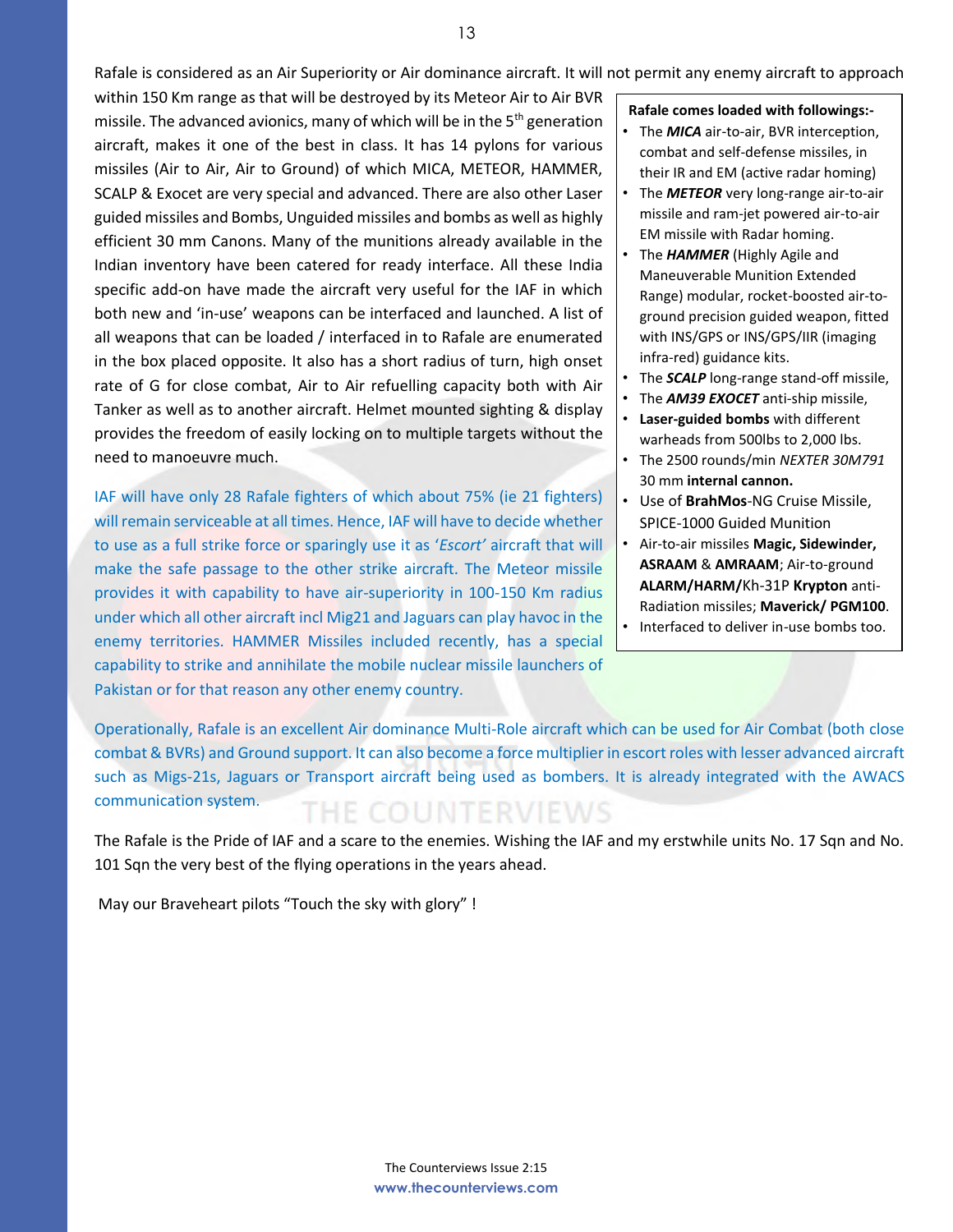Rafale is considered as an Air Superiority or Air dominance aircraft. It will not permit any enemy aircraft to approach

within 150 Km range as that will be destroyed by its Meteor Air to Air BVR missile. The advanced avionics, many of which will be in the 5<sup>th</sup> generation aircraft, makes it one of the best in class. It has 14 pylons for various missiles (Air to Air, Air to Ground) of which MICA, METEOR, HAMMER, SCALP & Exocet are very special and advanced. There are also other Laser guided missiles and Bombs, Unguided missiles and bombs as well as highly efficient 30 mm Canons. Many of the munitions already available in the Indian inventory have been catered for ready interface. All these India specific add-on have made the aircraft very useful for the IAF in which both new and 'in-use' weapons can be interfaced and launched. A list of all weapons that can be loaded / interfaced in to Rafale are enumerated in the box placed opposite. It also has a short radius of turn, high onset rate of G for close combat, Air to Air refuelling capacity both with Air Tanker as well as to another aircraft. Helmet mounted sighting & display provides the freedom of easily locking on to multiple targets without the need to manoeuvre much.

IAF will have only 28 Rafale fighters of which about 75% (ie 21 fighters) will remain serviceable at all times. Hence, IAF will have to decide whether to use as a full strike force or sparingly use it as '*Escort'* aircraft that will make the safe passage to the other strike aircraft. The Meteor missile provides it with capability to have air-superiority in 100-150 Km radius under which all other aircraft incl Mig21 and Jaguars can play havoc in the enemy territories. HAMMER Missiles included recently, has a special capability to strike and annihilate the mobile nuclear missile launchers of Pakistan or for that reason any other enemy country.

**Rafale comes loaded with followings:-**

- The *MICA* air-to-air, BVR interception, combat and self-defense missiles, in their IR and EM (active radar homing)
- The *METEOR* very long-range air-to-air missile and ram-jet powered air-to-air EM missile with Radar homing.
- The *HAMMER* (Highly Agile and Maneuverable Munition Extended Range) modular, rocket-boosted air-toground precision guided weapon, fitted with INS/GPS or INS/GPS/IIR (imaging infra-red) guidance kits.
- The *SCALP* long-range stand-off missile,
- The *AM39 EXOCET* anti-ship missile,
- **Laser-guided bombs** with different warheads from 500lbs to 2,000 lbs.
- The 2500 rounds/min *NEXTER 30M791*  30 mm **internal cannon.**
- Use of **BrahMos**-NG Cruise Missile, SPICE-1000 Guided Munition
- Air-to-air missiles **Magic, Sidewinder, ASRAAM** & **AMRAAM**; Air-to-ground **ALARM/HARM/**Kh-31P **Krypton** anti-Radiation missiles; **Maverick/ PGM100**. • Interfaced to deliver in-use bombs too.

Operationally, Rafale is an excellent Air dominance Multi-Role aircraft which can be used for Air Combat (both close combat & BVRs) and Ground support. It can also become a force multiplier in escort roles with lesser advanced aircraft such as Migs-21s, Jaguars or Transport aircraft being used as bombers. It is already integrated with the AWACS communication system. THE COUNTERVIEWS

The Rafale is the Pride of IAF and a scare to the enemies. Wishing the IAF and my erstwhile units No. 17 Sqn and No. 101 Sqn the very best of the flying operations in the years ahead.

May our Braveheart pilots "Touch the sky with glory" !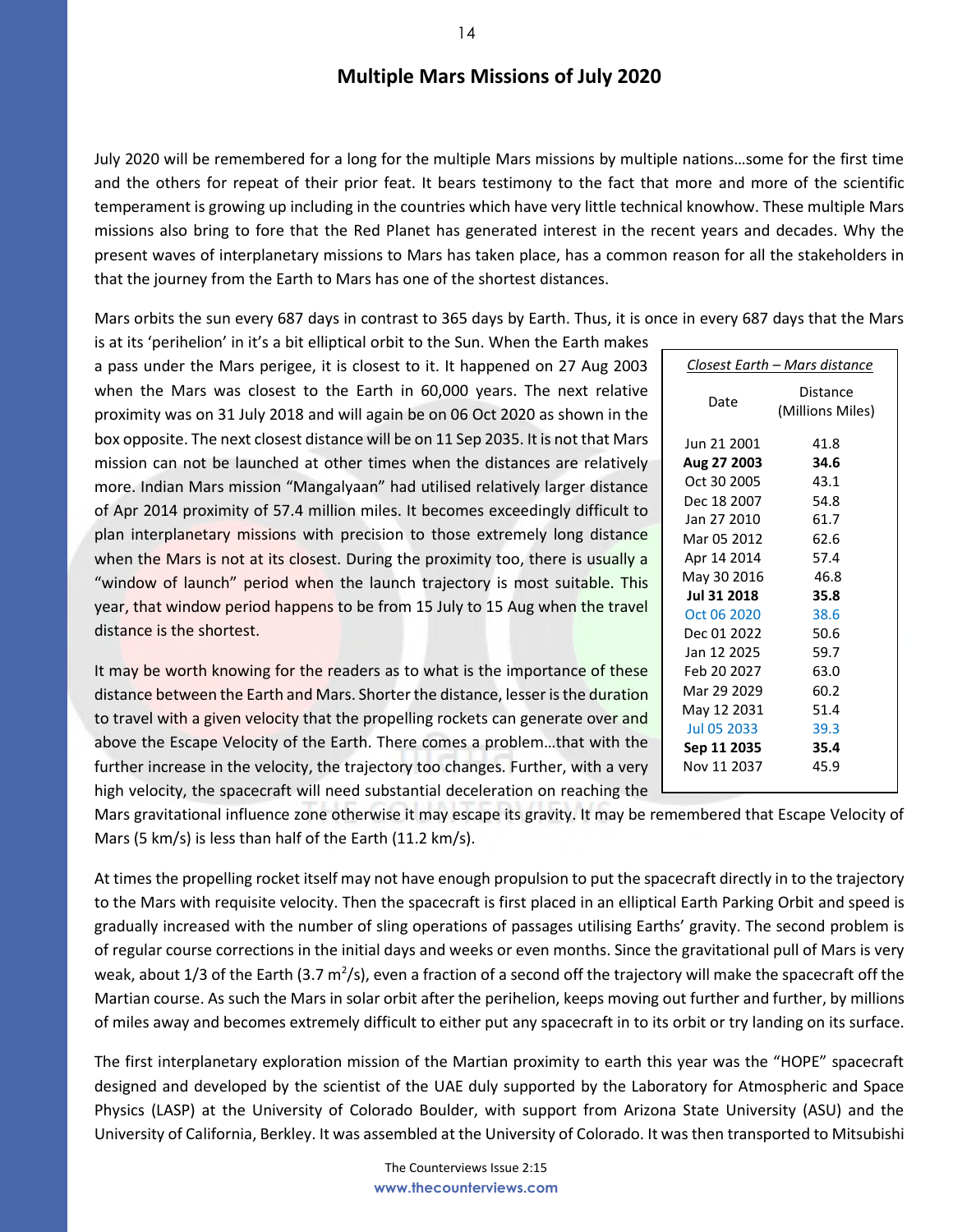## **Multiple Mars Missions of July 2020**

July 2020 will be remembered for a long for the multiple Mars missions by multiple nations…some for the first time and the others for repeat of their prior feat. It bears testimony to the fact that more and more of the scientific temperament is growing up including in the countries which have very little technical knowhow. These multiple Mars missions also bring to fore that the Red Planet has generated interest in the recent years and decades. Why the present waves of interplanetary missions to Mars has taken place, has a common reason for all the stakeholders in that the journey from the Earth to Mars has one of the shortest distances.

Mars orbits the sun every 687 days in contrast to 365 days by Earth. Thus, it is once in every 687 days that the Mars

is at its 'perihelion' in it's a bit elliptical orbit to the Sun. When the Earth makes a pass under the Mars perigee, it is closest to it. It happened on 27 Aug 2003 when the Mars was closest to the Earth in 60,000 years. The next relative proximity was on 31 July 2018 and will again be on 06 Oct 2020 as shown in the box opposite. The next closest distance will be on 11 Sep 2035. It is not that Mars mission can not be launched at other times when the distances are relatively more. Indian Mars mission "Mangalyaan" had utilised relatively larger distance of Apr 2014 proximity of 57.4 million miles. It becomes exceedingly difficult to plan interplanetary missions with precision to those extremely long distance when the Mars is not at its closest. During the proximity too, there is usually a "window of launch" period when the launch trajectory is most suitable. This year, that window period happens to be from 15 July to 15 Aug when the travel distance is the shortest.

It may be worth knowing for the readers as to what is the importance of these distance between the Earth and Mars. Shorter the distance, lesser is the duration to travel with a given velocity that the propelling rockets can generate over and above the Escape Velocity of the Earth. There comes a problem…that with the further increase in the velocity, the trajectory too changes. Further, with a very high velocity, the spacecraft will need substantial deceleration on reaching the  $\overline{a}$ 

Mars gravitational influence zone otherwise it may escape its gravity. It may be remembered that Escape Velocity of Mars (5 km/s) is less than half of the Earth (11.2 km/s).

At times the propelling rocket itself may not have enough propulsion to put the spacecraft directly in to the trajectory to the Mars with requisite velocity. Then the spacecraft is first placed in an elliptical Earth Parking Orbit and speed is gradually increased with the number of sling operations of passages utilising Earths' gravity. The second problem is of regular course corrections in the initial days and weeks or even months. Since the gravitational pull of Mars is very weak, about 1/3 of the Earth (3.7 m<sup>2</sup>/s), even a fraction of a second off the trajectory will make the spacecraft off the Martian course. As such the Mars in solar orbit after the perihelion, keeps moving out further and further, by millions of miles away and becomes extremely difficult to either put any spacecraft in to its orbit or try landing on its surface.

The first interplanetary exploration mission of the Martian proximity to earth this year was the "HOPE" spacecraft designed and developed by the scientist of the UAE duly supported by the Laboratory for Atmospheric and Space Physics (LASP) at the University of Colorado Boulder, with support from Arizona State University (ASU) and the University of California, Berkley. It was assembled at the University of Colorado. It was then transported to Mitsubishi

| <u> Closest Earth – Mars distance</u> |                              |  |
|---------------------------------------|------------------------------|--|
| Date                                  | Distance<br>(Millions Miles) |  |
| Jun 21 2001                           | 41.8                         |  |
| Aug 27 2003                           | 34.6                         |  |
| Oct 30 2005                           | 43.1                         |  |
| Dec 18 2007                           | 54.8                         |  |
| Jan 27 2010                           | 61.7                         |  |
| Mar 05 2012                           | 62.6                         |  |
| Apr 14 2014                           | 57.4                         |  |
| May 30 2016                           | 46.8                         |  |
| Jul 31 2018                           | 35.8                         |  |
| Oct 06 2020                           | 38.6                         |  |
| Dec 01 2022                           | 50.6                         |  |
| Jan 12 2025                           | 59.7                         |  |
| Feb 20 2027                           | 63.0                         |  |
| Mar 29 2029                           | 60.2                         |  |
| May 12 2031                           | 51.4                         |  |
| Jul 05 2033                           | 39.3                         |  |
| Sep 11 2035                           | 35.4                         |  |
| Nov 11 2037                           | 45.9                         |  |
|                                       |                              |  |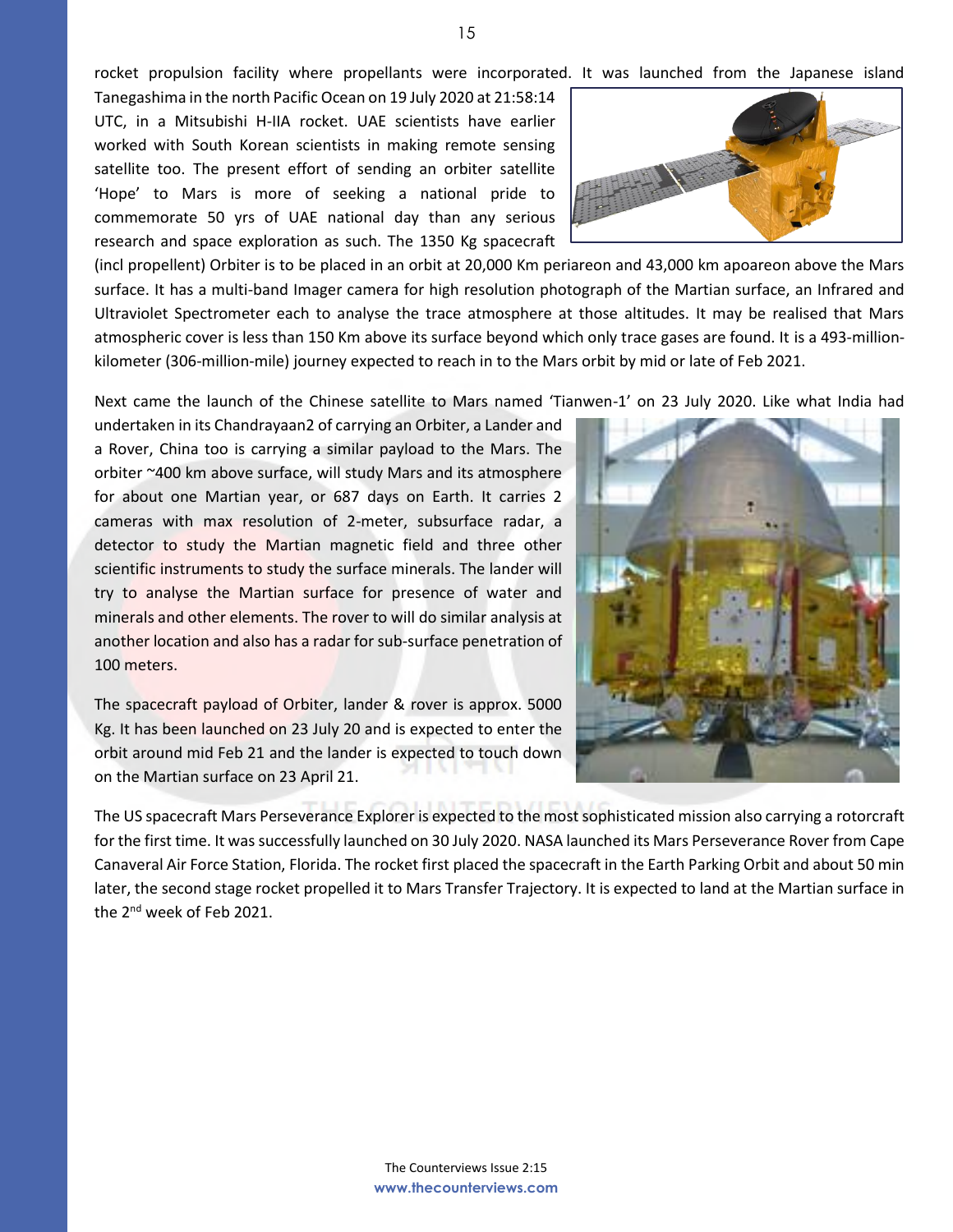rocket propulsion facility where propellants were incorporated. It was launched from the Japanese island

Tanegashima in the north Pacific Ocean on 19 July 2020 at 21:58:14 UTC, in a Mitsubishi H-IIA rocket. UAE scientists have earlier worked with South Korean scientists in making remote sensing satellite too. The present effort of sending an orbiter satellite 'Hope' to Mars is more of seeking a national pride to commemorate 50 yrs of UAE national day than any serious research and space exploration as such. The 1350 Kg spacecraft

(incl propellent) Orbiter is to be placed in an orbit at 20,000 Km periareon and 43,000 km apoareon above the Mars surface. It has a multi-band Imager camera for high resolution photograph of the Martian surface, an Infrared and Ultraviolet Spectrometer each to analyse the trace atmosphere at those altitudes. It may be realised that Mars atmospheric cover is less than 150 Km above its surface beyond which only trace gases are found. It is a 493-millionkilometer (306-million-mile) journey expected to reach in to the Mars orbit by mid or late of Feb 2021.

Next came the launch of the Chinese satellite to Mars named 'Tianwen-1' on 23 July 2020. Like what India had

undertaken in its Chandrayaan2 of carrying an Orbiter, a Lander and a Rover, China too is carrying a similar payload to the Mars. The orbiter ~400 km above surface, will study Mars and its atmosphere for about one Martian year, or 687 days on Earth. It carries 2 cameras with max resolution of 2-meter, subsurface radar, a detector to study the Martian magnetic field and three other scientific instruments to study the surface minerals. The lander will try to analyse the Martian surface for presence of water and minerals and other elements. The rover to will do similar analysis at another location and also has a radar for sub-surface penetration of 100 meters.

The spacecraft payload of Orbiter, lander & rover is approx. 5000 Kg. It has been launched on 23 July 20 and is expected to enter the orbit around mid Feb 21 and the lander is expected to touch down on the Martian surface on 23 April 21.

The US spacecraft Mars Perseverance Explorer is expected to the most sophisticated mission also carrying a rotorcraft for the first time. It wassuccessfully launched on 30 July 2020. NASA launched its Mars Perseverance Rover from Cape Canaveral Air Force Station, Florida. The rocket first placed the spacecraft in the Earth Parking Orbit and about 50 min later, the second stage rocket propelled it to Mars Transfer Trajectory. It is expected to land at the Martian surface in the 2<sup>nd</sup> week of Feb 2021.



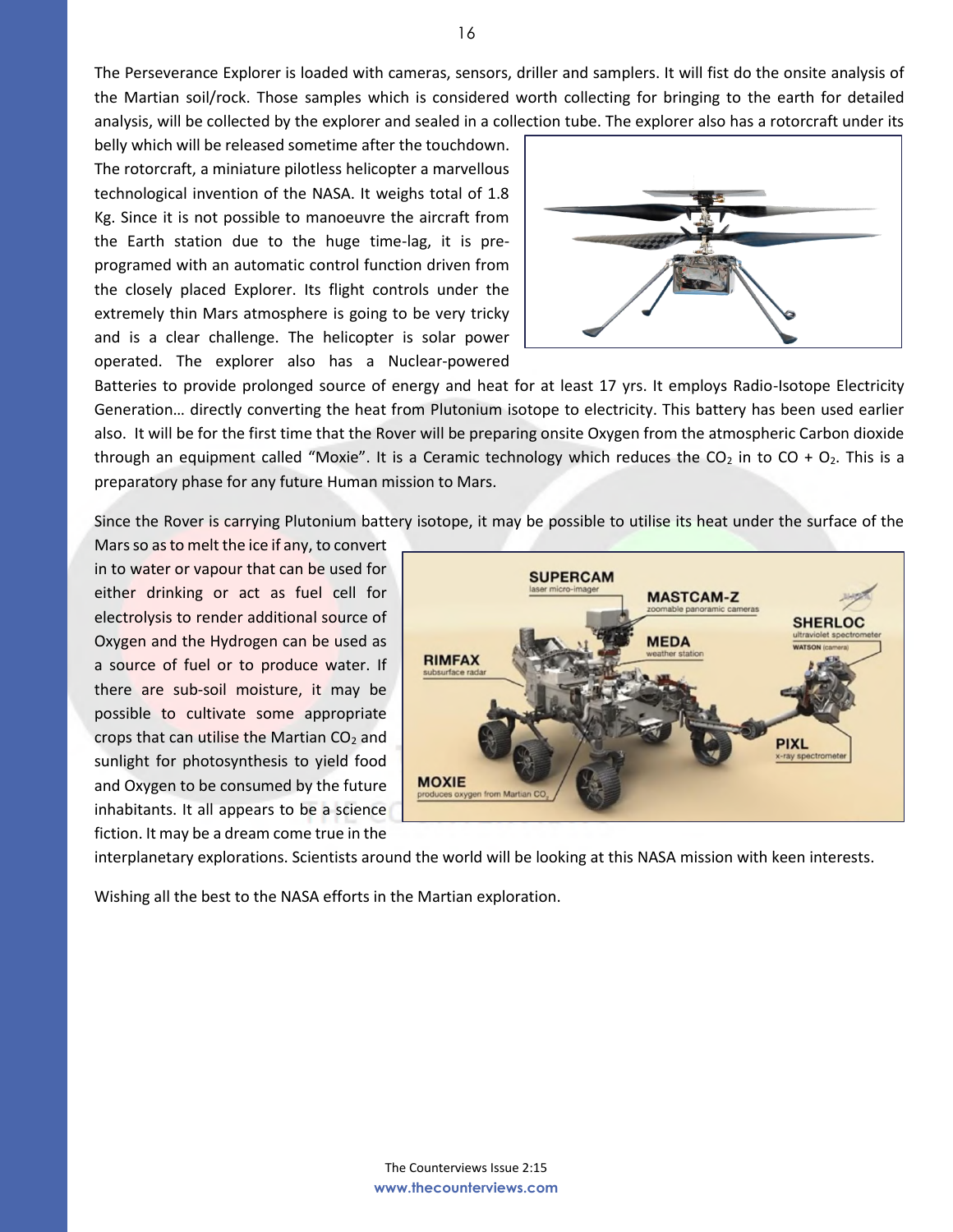The Perseverance Explorer is loaded with cameras, sensors, driller and samplers. It will fist do the onsite analysis of the Martian soil/rock. Those samples which is considered worth collecting for bringing to the earth for detailed analysis, will be collected by the explorer and sealed in a collection tube. The explorer also has a rotorcraft under its

belly which will be released sometime after the touchdown. The rotorcraft, a miniature pilotless helicopter a marvellous technological invention of the NASA. It weighs total of 1.8 Kg. Since it is not possible to manoeuvre the aircraft from the Earth station due to the huge time-lag, it is preprogramed with an automatic control function driven from the closely placed Explorer. Its flight controls under the extremely thin Mars atmosphere is going to be very tricky and is a clear challenge. The helicopter is solar power operated. The explorer also has a Nuclear-powered



Batteries to provide prolonged source of energy and heat for at least 17 yrs. It employs Radio-Isotope Electricity Generation… directly converting the heat from Plutonium isotope to electricity. This battery has been used earlier also. It will be for the first time that the Rover will be preparing onsite Oxygen from the atmospheric Carbon dioxide through an equipment called "Moxie". It is a Ceramic technology which reduces the CO<sub>2</sub> in to CO + O<sub>2</sub>. This is a preparatory phase for any future Human mission to Mars.

Since the Rover is carrying Plutonium battery isotope, it may be possible to utilise its heat under the surface of the

Mars so as to melt the ice if any, to convert in to water or vapour that can be used for either drinking or act as fuel cell for electrolysis to render additional source of Oxygen and the Hydrogen can be used as a source of fuel or to produce water. If there are sub-soil moisture, it may be possible to cultivate some appropriate crops that can utilise the Martian  $CO<sub>2</sub>$  and sunlight for photosynthesis to yield food and Oxygen to be consumed by the future inhabitants. It all appears to be a science fiction. It may be a dream come true in the



interplanetary explorations. Scientists around the world will be looking at this NASA mission with keen interests.

Wishing all the best to the NASA efforts in the Martian exploration.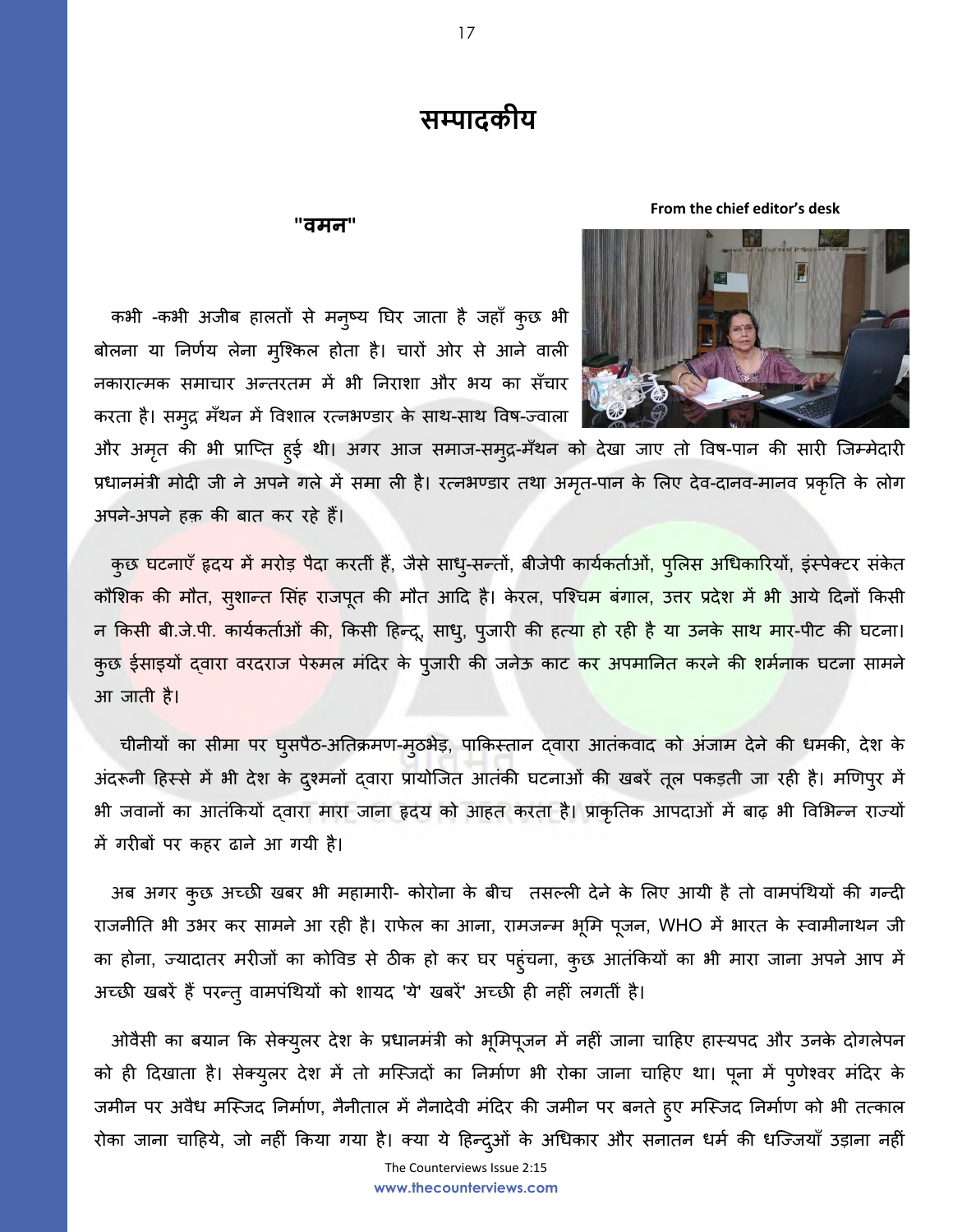# **सम्पादकीय**

### **"वमन"**

**From the chief editor's desk**





और अमृत की भी प्राप्ति हुई थी। अगर आज समाज-समुद्र-मँथन को देखा जाए तो विष-पान की सारी जिम्मेदारी प्रधानमंत्री मोदी जी ने अपने गले में समा ली है। रत्नभण्डार तथा अमृत-पान के लिए देव-दानव-मानव प्रकृति के लोग अपने-अपने हक़ की बात कर रहे हैं।

कुछ घटनाएँ हृदय में मरोड़ पैदा करतीं हैं, जैसे साधु-सन्तों, बीजेपी कार्यकर्ताओं, पुलिस अधिकारियों, इंस्पेक्टर संकेत कौशिक की मौत, सुशान्त सिंह राजपूत की मौत आदि है। केरल, पश्चि<mark>म बंगाल, उत्तर प्रदेश में भी</mark> आये दिनों किसी न किसी बी.जे.पी. कार्यकर्ताओं की, किसी हिन्द्, साधु, पुजारी की हत्य<mark>ा हो रही है या उनके साथ मार</mark>-पीट की घटना। कुछ ईसाइयों दवारा वरदराज पेरुमल मंदिर के पुजारी की जनेऊ काट <mark>कर अपमानित करने की शर्मन</mark>ाक घटना सामने आ जाती है।

चीनीयों का सीमा पर घुसपैठ-अतिक्रमण-मठभेड़, पाकिस्तान दवारा आतंकवाद को अंजाम देने की धमकी, देश के अंदरूनी हिस्से में भी देश के दुश्मनों दवारा प्रायोजित आतंकी घटनाओं की खबरें तूल पकड़ती जा रही है। मणिपुर में भी जवानों का आतंककयों द्वारा मारा जाना हृदय को आहत करता है। प्राकृघतक आपदाओं में बाढ़ भी ववलभन्न राज्यों में गरीबों पर कहर ढाने आ गयी है।

अब अगर कुछ अच्छी खबर भी महामारी- कोरोना के बीच तसल्ली देने के लिए आयी है तो वामपंथियों की गन्दी राजनीति भी उभर कर सामने आ रही है। राफेल का आना, रामजन्म भूमि पूजन, WHO में भारत के स्वामीनाथन जी का होना, ज्यादातर मरीजों का कोविड से ठीक हो कर घर पहुंचना, कुछ आतंकियों का भी मारा जाना अपने आप में अच्छी खबरें हैंपरन्तुवामपंधथयों को शायद 'ये' खबरें' अच्छी ही नहीं लगतीं है।

 ओवैसी का बयान कक सेक्युलर देश के प्रधानमंत्री को भूलमपूजन में नहीं जाना चादहए हास्यपद और उनके दोगलेपन को ही दिखाता है। सेक्युलर देश में तो मस्जिदों का निर्माण भी रोका जाना चाहिए था। पूना में पुणेश्वर मंदिर के जमीन पर अवैध मस्जिद निर्माण, नैनीताल में नैनादेवी मंदिर की जमीन पर बनते हुए मस्जिद निर्माण को भी तत्काल रोका जाना चाहिये, जो नहीं किया गया है। क्या ये हिन्दूओं के अधिकार और सनातन धर्म की धज्जियाँ उड़ाना नहीं

The Counterviews Issue 2:15 **www.thecounterviews.com**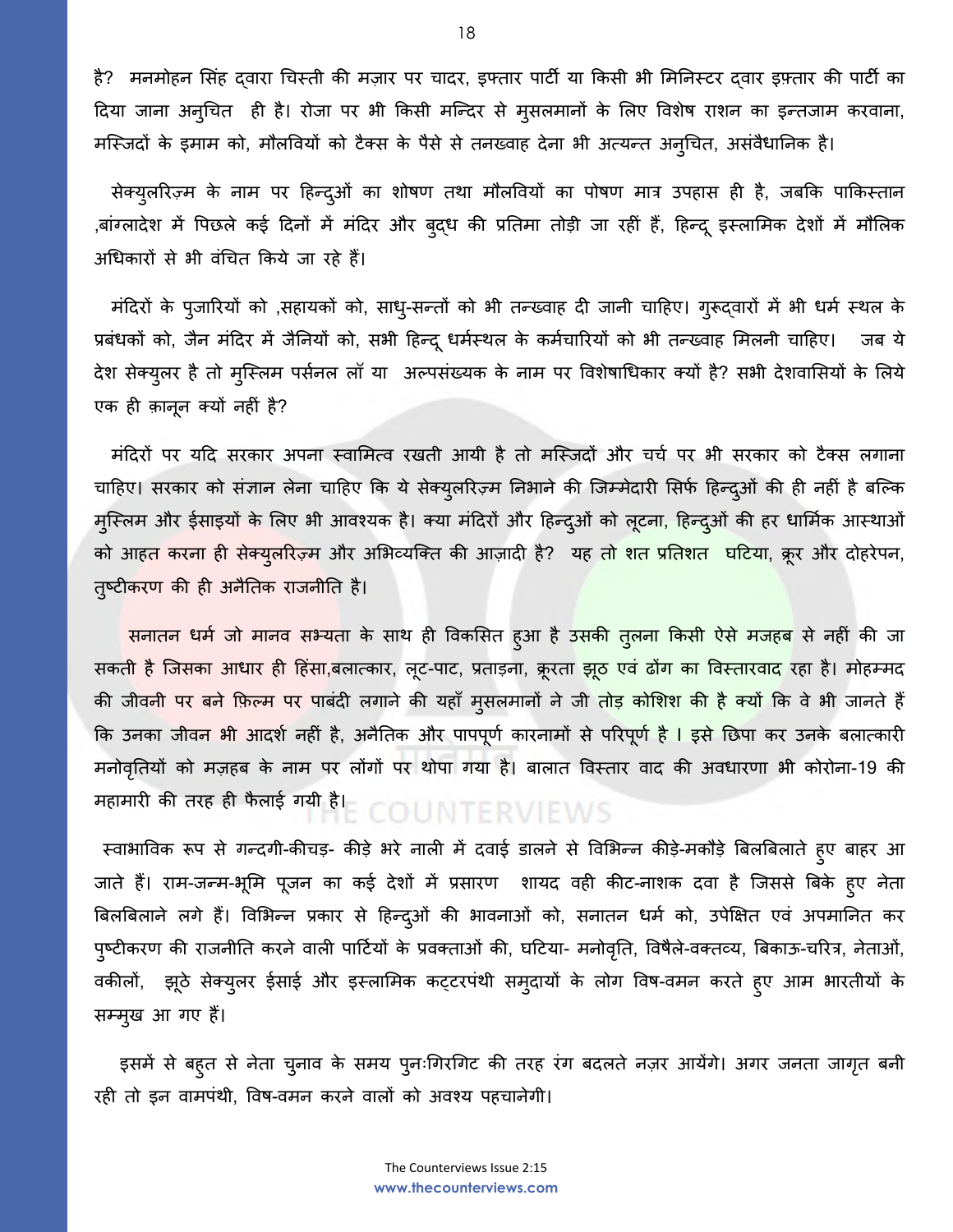है? मनमोहन सिंह दवारा चिस्ती की मज़ार पर चादर, इफ्तार पार्टी या किसी भी मिनिस्टर दवार इफ़्तार की पार्टी का ददया जाना अनुधचत ही है। रोजा पर भी ककसी मश्न्दर से मुसलमानों के ललए ववशेष राशन का इन्तजाम करवाना, मश्स्जदों के इमाम को, मौलववयों को टैक्स के पैसे से तनख्वाह देना भी अत्यन्त अनुधचत, असंवैधाघनक है।

सेक्युलरिज़्म के नाम पर हिन्द्ओं का शोषण तथा मौलवियों का पोषण मात्र उपहास ही है, जबकि पाकिस्तान ,बांग्लादेश में पिछले कई दिनों में मंदिर और बुद्ध की प्रतिमा तोड़ी जा रहीं हैं, हिन्दू इस्लामिक देशों में मौलिक अधधकारों से भी वंधचत ककये जा रहे हैं।

 मंददरों के पुजाररयों को ,सहायकों को, साधु-सन्तों को भी तन्ख्वाह दी जानी चादहए। गुरूद्वारों में भी धमण स्थल के प्रबंधकों को, जैन मंदिर में जैनियों को, सभी हिन्दू धर्मस्थल के कर्मचारियों को भी तन्ख्वाह मिलनी चाहिए। जब ये देश सेक्युलर है तो मुस्लिम पर्सनल लॉ या अल्पसंख्यक के नाम पर विशेषाधिकार क्यों है? सभी देशवासियों के लिये एक ही क़ानून क्यों नहीं है?

मंदिरों पर यदि सरकार अपना स्वामित्व रखती आयी है तो मस्जिदों और चर्च पर भी सरकार को टैक्स लगाना चाहिए। सरकार को संज्ञान लेना चाहिए कि ये सेक्यूलरिज़्म निभाने की जिम्मेदारी सिर्फ हिन्द्ओं की ही नहीं है बल्कि मुस्लिम और ईसाइयों के लिए भी आवश्यक है। क्या मंदिरों और हिन्दुओं को लूटना, हिन्दुओं की हर धार्मिक आस्थाओं को आहत करना ही सेक्युलरिज़्म और अभिव्यक्ति की आज़ादी है? यह तो शत प्रतिशत घटिया, क्रूर और दोहरेपन, तुष्टीकरण की ही अनैतिक राजनीति है।

सनातन धर्म जो मानव सभ्यता के साथ ही विकसित हुआ है उसकी तुलना किसी ऐसे मजहब से नहीं की जा सकत<mark>ी है</mark> जिसका आधार ही हिंसा,बलात्कार, लूट-पाट, प्रताड़ना, क्रूरता <mark>झूठ एवं ढोंग का विस्तारवाद</mark> रहा है। मोहम्मद की जीवनी पर बने फ़िल्म पर पाबंदी लगाने की यहाँ मुसलमानों ने जी <mark>तोड़ कोशिश की है क्यों</mark> कि वे भी जानते हैं कि उनका जीवन भी आदर्श नहीं है, अनैतिक और पापपूर्ण कारनामों से परिपूर्ण है l इसे छिपा कर उनके बलात्कारी मनोवृतियों को मज़हब के नाम पर लोंगों पर थोपा गया है। बालात विस्तार वाद की अवधारणा भी कोरोना-19 की महामारी की तरह ही फैलाई गयी है।<br> $E \subseteq E \cup E$  For  $E \subseteq E$  and  $E \subseteq E$  and  $E \subseteq E$  and  $E \subseteq E$  and  $E \subseteq E$  and  $E \subseteq E$  and  $E \subseteq E$  and  $E \subseteq E$  and  $E \subseteq E$  and  $E \subseteq E$  and  $E \subseteq E$  and  $E \subseteq E$  and  $E \subseteq E$  and  $E \subseteq E$  and  $E \subseteq E$  and  $E \subseteq E$  an

स्वाभाविक रूप से गन्दगी-कीचड़- कीड़े भरे नाली में दवाई डालने से विभिन्न कीड़े-मकौड़े बिलबिलाते हुए बाहर आ जाते हैं। राम-जन्म-भूमि पूजन का कई देशों में प्रसारण शायद वही कीट-नाशक दवा है जिससे बिके हुए नेता बिलबिलाने लगे हैं। विभिन्न प्रकार से हिन्द्ओं की भावनाओं को, सनातन धर्म को, उपेक्षित एवं अपमानित कर पुष्टीकरण की राजनीति करने वाली पार्टियों के प्रवक्ताओं की, घटिया- मनोवृति, विषैले-वक्तव्य, बिकाऊ-चरित्र, नेताओं, वकीलों, झूठे सेक्युलर ईसाई और इस्लामिक कट्टरपंथी समुदायों के लोग विष-वमन करते हुए आम भारतीयों के सम्मुख आ गए हैं।

इसमें से बहुत से नेता चुनाव के समय पुनःगिरगिट की तरह रंग बदलते नज़र आयेंगे। अगर जनता जागृत बनी रही तो इन वामपंथी, ववष-वमन करने वालों को अवकय पहचानेगी।

> The Counterviews Issue 2:15 **www.thecounterviews.com**

18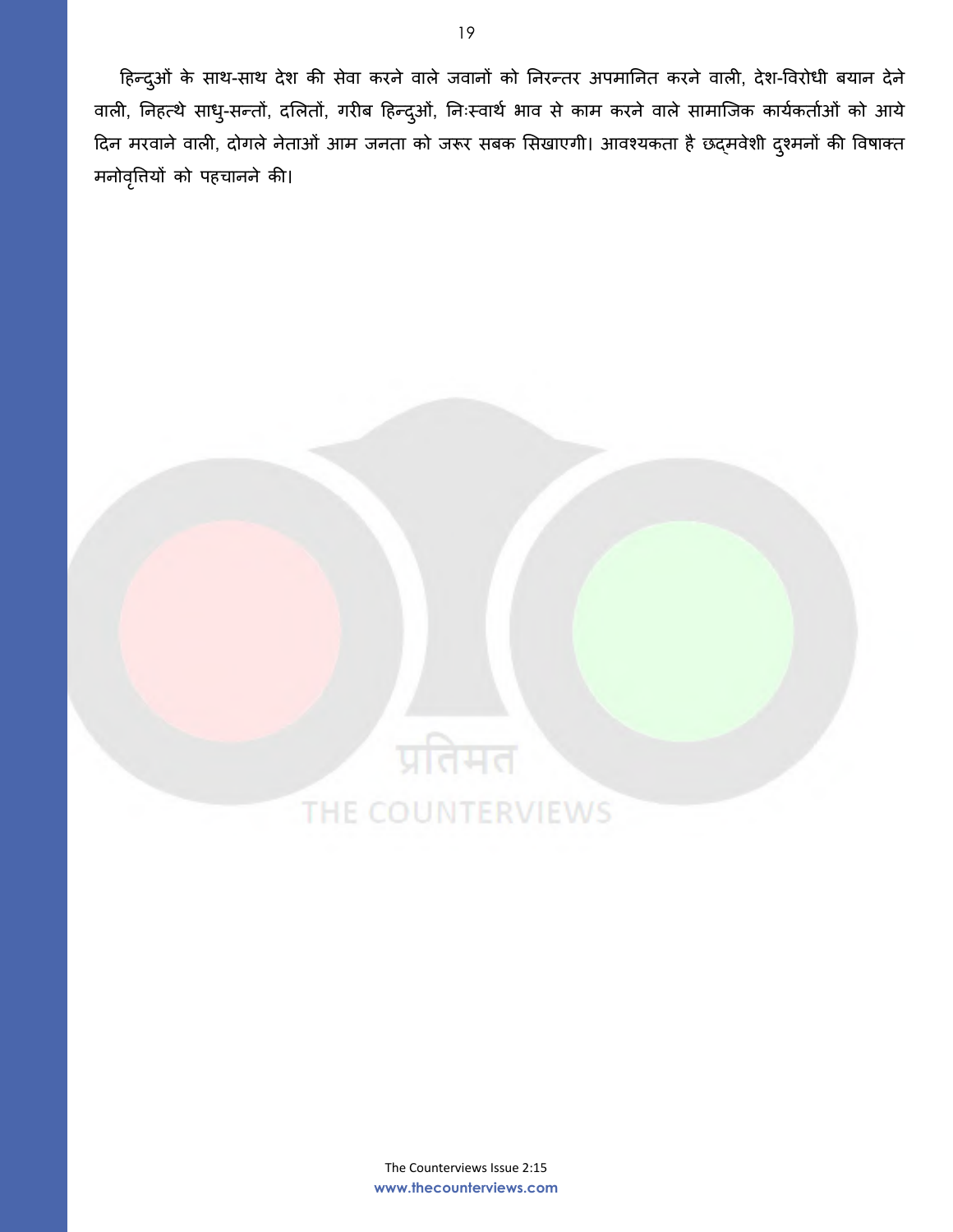हिन्दुओं के साथ-साथ देश की सेवा करने वाले जवानों को निरन्तर अपमानित करने वाली, देश-विरोधी बयान देने वाली, निहत्थे साधु-सन्तों, दलितों, गरीब हिन्दुओं, निःस्वार्थ भाव से काम करने वाले सामाजिक कार्यकर्ताओं को आये दिन मरवाने वाली, दोगले नेताओं आम जनता को जरूर सबक सिखाएगी। आवश्यकता है छद्मवेशी दुश्मनों की विषाक्त मनोववृत्तयों को पहचानने की।

### The Counterviews Issue 2:15 **www.thecounterviews.com**

प्रतिमत

THE COUNTERVIEWS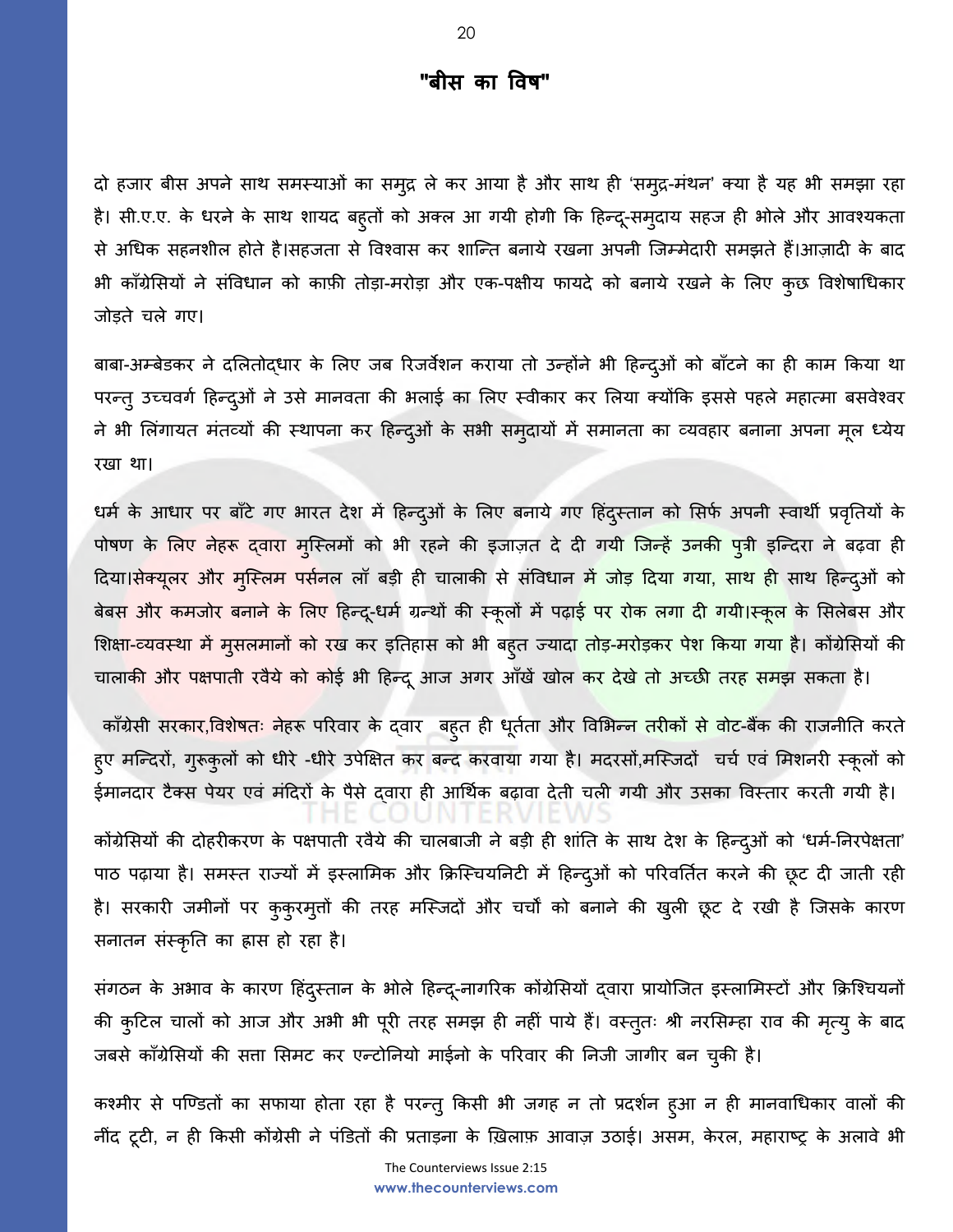## **"बीस का ववष"**

दो हजार बीस अपने साथ समस्याओं का समुद्र ले कर आया हैऔर साथ ही 'समुद्र-मंथन' क्या हैयह भी समझा रहा है। सी.ए.ए. के धरने के साथ शायद बहुतों को अक्ल आ गयी होगी कि हिन्दू-समुदाय सहज ही भोले और आवश्यकता से अधिक सहनशील होते है।सहजता से विश्वास कर शान्ति बनाये रखना अपनी जिम्मेदारी समझते हैं।आज़ादी के बाद भी कााँग्रेलसयों ने संववधान को कािी तोड़ा-मरोड़ा और एक-पिीय फायदे को बनाये रखने के ललए कुछ ववशेषाधधकार जोड़ते चले गए।

बाबा-अम्बेडकर ने दलितोद्धार के लिए जब रिजर्वेशन कराया तो उन्होंने भी हिन्द्ओं को बाँटने का ही काम किया था परन्तु उच्चवर्ग हिन्दुओं ने उसे मानवता की भलाई का लिए स्वीकार कर लिया क्योंकि इससे पहले महात्मा बसवेश्वर ने भी लिंगायत मंतव्यों की स्थापना कर हिन्द्ओं के सभी समुदायों में समानता का व्यवहार बनाना अपना मूल ध्येय रखा था।

धर्म के आधार पर बाँटे गए भारत देश में हिन्द्ओं के लिए बनाये गए हिंद्स्तान को सिर्फ अपनी स्वार्थी प्रवृतियों के पोषण के लिए नेहरू दवारा मुस्लिमों को भी रहने की इजाज़त दे दी गयी जिन्हें उनकी पुत्री इन्दिरा ने बढ़वा ही दिया।सेक्यूलर और मुस्लिम पर्सनल लॉ बड़ी ही चालाकी से संविधान मे<mark>ं जोड़ दिया गया, साथ ही</mark> साथ हिन्द्ओं को बेबस और कमजोर बनाने के लिए हिन्दू-धर्म ग्रन्थों की स्कूलों में पढ़ा<mark>ई पर रोक लगा दी गयी।स्कूल</mark> के सिलेबस और शिक्ष<mark>ा-व्यवस्था में मुसलमानों को र</mark>ख कर इतिहास को भी बहुत ज्याद<mark>ा तोड़-मरोड़कर पेश किया गया है।</mark> कोंग्रेसियों की चालाकी और पक्षपाती रवैये को कोई भी हिन्दू आज अगर आँखें खोल कर देखे तो अच्छी तरह समझ सकता है।

काँग्रेसी सरकार,विशेषतः नेहरू परिवार के द्वार बहुत ही धूर्तता और विभिन्न तरीकों से वोट-बैंक की राजनीति करते हुए मन्दिरों, गुरूकुलों को धीरे -धीरे उपेक्षित कर बन्द करवाया गया है। मदरसों,मस्जिदों चर्च एवं मिशनरी स्कूलों को ईमानदार टैक्स पेयर एवं मंदिरों के पैसे द्वारा ही आर्थिक बढ़ावा देती चली गयी और उसका विस्तार करती गयी है।

कोंग्रेसियों की दोहरीकरण के पक्षपाती रवैये की चालबाजी ने बड़ी ही शांति के साथ देश के हिन्दुओं को 'धर्म-निरपेक्षता' पाठ पढ़ाया है। समस्त राज्यों में इस्लामिक और क्रिस्चियनिटी में हिन्दुओं को परिवर्तित करने की छूट दी जाती रही है। सरकारी जमीनों पर कुकुरमुत्तों की तरह मश्स्जदों और चचों को बनाने की खुली छूट दे रखी है श्जसके कारर् सनातन संस्कृघत का ह्रास हो रहा है।

संगठन के अभाव के कारण हिंदुस्तान के भोले हिन्दू-नागरिक कोंग्रेसियों द्वारा प्रायोजित इस्लामिस्टों और क्रिश्चियनों की कुटिल चालों को आज और अभी भी पूरी तरह समझ ही नहीं पाये हैं। वस्तुतः श्री नरसिम्हा राव की मृत्यु के बाद जबसे कााँग्रेलसयों की सत्ता लसमट कर एन्टोघनयो माईनो के पररवार की घनजी जागीर बन चुकी है।

कश्मीर से पण्डितों का सफाया होता रहा है परन्तु किसी भी जगह न तो प्रदर्शन हुआ न ही मानवाधिकार वालों की नींद टूटी, न ही किसी कोंग्रेसी ने पंडितों की प्रताड़ना के ख़िलाफ़ आवाज़ उठाई। असम, केरल, महाराष्ट्र के अलावे भी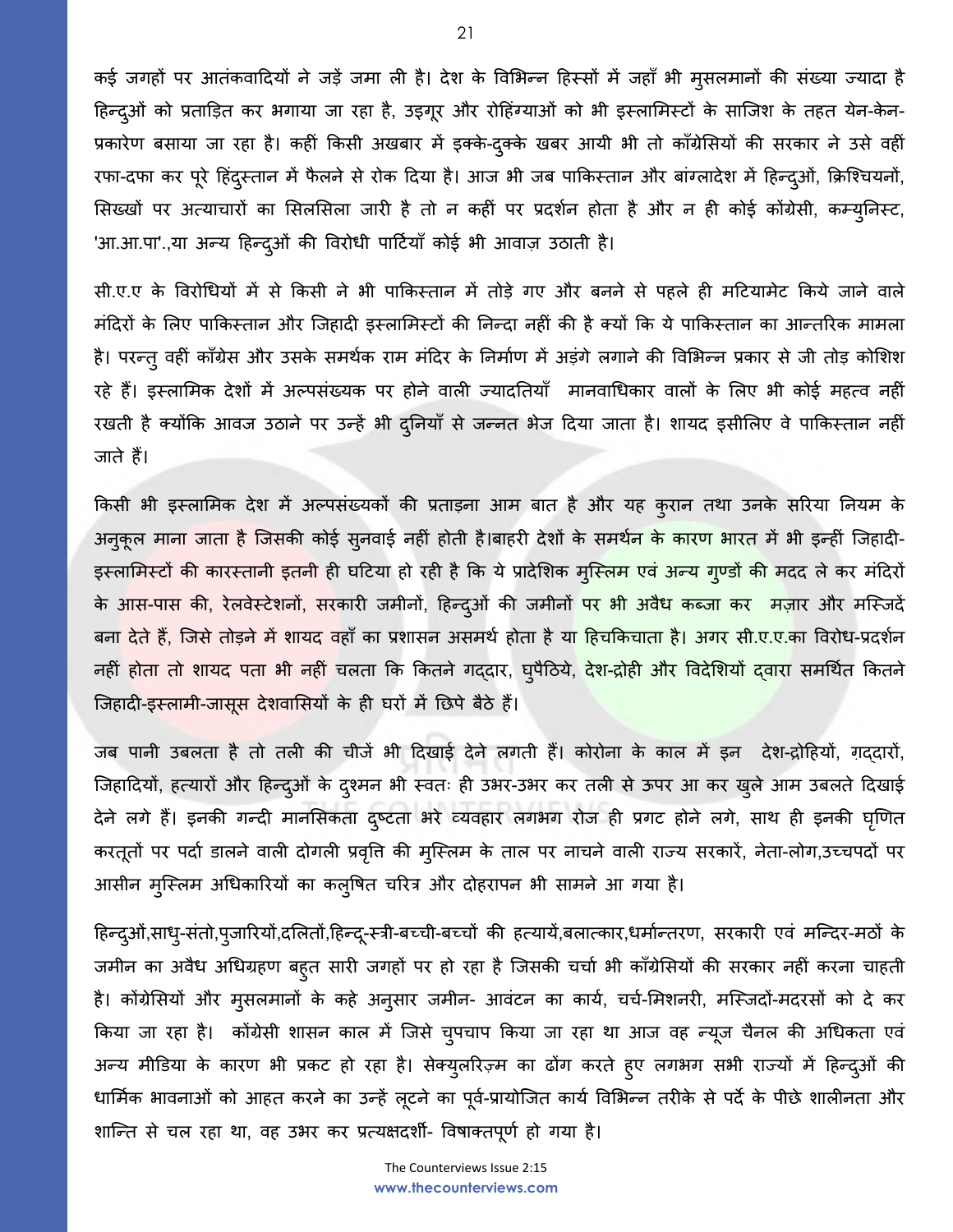कई जगहों पर आतंकवादियों ने जड़ें जमा ली है। देश के विभिन्न हिस्सों में जहाँ भी मुसलमानों की संख्या ज्यादा है हिन्दुओं को प्रताड़ित कर भगाया जा रहा है, उइगूर और रोहिंग्याओं को भी इस्लामिस्टों के साजिश के तहत येन-केन-प्रकारेण बसाया जा रहा है। कहीं किसी अखबार में इक्के-दुक्के खबर आयी भी तो काँग्रेसियों की सरकार ने उसे वहीं रफा-दफा कर पूरे हिंदुस्तान में फैलने से रोक दिया है। आज भी जब पाकिस्तान और बांग्लादेश में हिन्दुओं, क्रिश्चियनों, सिख्खों पर अत्याचारों का सिलसिला जारी है तो न कहीं पर प्रदर्शन होता है और न ही कोई कोंग्रेसी, कम्युनिस्ट, 'आ.आ.पा'.,या अन्य हिन्दुओं की विरोधी पार्टियाँ कोई भी आवाज़ उठाती है।

सी.ए.ए के ववरोधधयों में से ककसी ने भी पाककस्तान में तोड़े गए और बनने से पहले ही मदटयामेट ककये जाने वाले मंदिरों के लिए पाकिस्तान और जिहादी इस्लामिस्टों की निन्दा नहीं की है क्यों कि ये पाकिस्तान का आन्तरिक मामला है। परन्तु वहीं काँग्रेस और उसके समर्थक राम मंदिर के निर्माण में अड़ंगे लगाने की विभिन्न प्रकार से जी तोड़ कोशिश रहे हैं। इस्लामिक देशों में अल्पसंख्यक पर होने वाली ज्यादतियाँ मानवाधिकार वालों के लिए भी कोई महत्व नहीं रखती है क्योंकि आवज उठाने पर उन्हें भी दुनियाँ से जन्नत भेज दिया जाता है। शायद इसीलिए वे पाकिस्तान नहीं जाते हैं।

ककसी भी इस्लालमक देश में अल्पसंख्यकों की प्रताड़ना आम बात है और यह कुरान तथा उनके सररया घनयम के अनुकूल माना जाता है जिसकी कोई सुनवाई नहीं होती है।बाहरी देशों के समर्थन के कारण भारत में भी इन्हीं जिहादी-इस्लामिस्टों की कारस्तानी इतनी ही घटिया हो रही है कि ये प्रादेशिक मुस्लिम एवं अन्य गुण्डों की मदद ले कर मंदिरों के आस-पास की, रेलवेस्टेशनों, सरकारी जमीनों, हिन्दुओं की जमीनों <mark>पर भी अवैध कब्जा कर मज़ार और मस्जिदें</mark> बन<mark>ा देते हैं, जिसे तोड़ने में शायद</mark> वहाँ का प्रशासन असमर्थ होता है य<mark>ा हिचकिचाता है। अगर सी.ए.ए.</mark>का विरोध-प्रदर्शन नहीं होता तो शायद पता भी नहीं चलता कि कितने गद्दार, घ्पैठिये, <mark>देश-द्रोही और विदेशियों द्वारा</mark> समर्थित कितने जिहादी-इस्लामी-जासूस देशवासियों के ही घरों में छिपे बैठे हैं।

जब पानी उबलता है तो तली की चीजें भी ददखाई देने लगती हैं। कोरोना के काल में इन देश-द्रोदहयों, ग़द्दारों, जिहादियों, हत्यारों और हिन्दुओं के दृश्मन भी स्वतः ही उभर-उभर कर तली से ऊपर आ कर खुले आम उबलते दिखाई देने लगे हैं। इनकी गन्दी मानसिकता दुष्टता भरे व्यवहार लगभग रोज ही प्रगट होने लगे, साथ ही इनकी घृणित करतूतों पर पदाण डालने वाली दोगली प्रववृत्त की मुश्स्लम के ताल पर नाचने वाली राज्य सरकारें, नेता-लोग,उच्चपदों पर आसीन मुश्स्लम अधधकाररयों का कलुवषत चररत्र और दोहरापन भी सामने आ गया है।

हिन्द्ओं,साध्-संतो,पुजारियों,दलितों,हिन्दू-स्त्री-बच्ची-बच्चों की हत्यायें,बलात्कार,धर्मान्तरण, सरकारी एवं मन्दिर-मठों के जमीन का अवैध अधिग्रहण बहुत सारी जगहों पर हो रहा है जिसकी चर्चा भी काँग्रेसियों की सरकार नहीं करना चाहती है। कोंग्रेसियों और मुसलमानों के कहे अनुसार जमीन- आवंटन का कार्य, चर्च-मिशनरी, मस्जिदों-मदरसों को दे कर ककया जा रहा है। कोंग्रेसी शासन काल में श्जसे चुपचाप ककया जा रहा था आज वह न्यजू चैनल की अधधकता एवं अन्य मीडिया के कारण भी प्रकट हो रहा है। सेक्युलरिज़्म का ढोंग करते हुए लगभग सभी राज्यों में हिन्दुओं की धार्मिक भावनाओं को आहत करने का उन्हें लूटने का पूर्व-प्रायोजित कार्य विभिन्न तरीके से पर्दे के पीछे शालीनता और शाश्न्त से चल रहा था, वह उभर कर प्रत्यिदशी- ववषाक्तपूर्ण हो गया है।

The Counterviews Issue 2:15 **www.thecounterviews.com**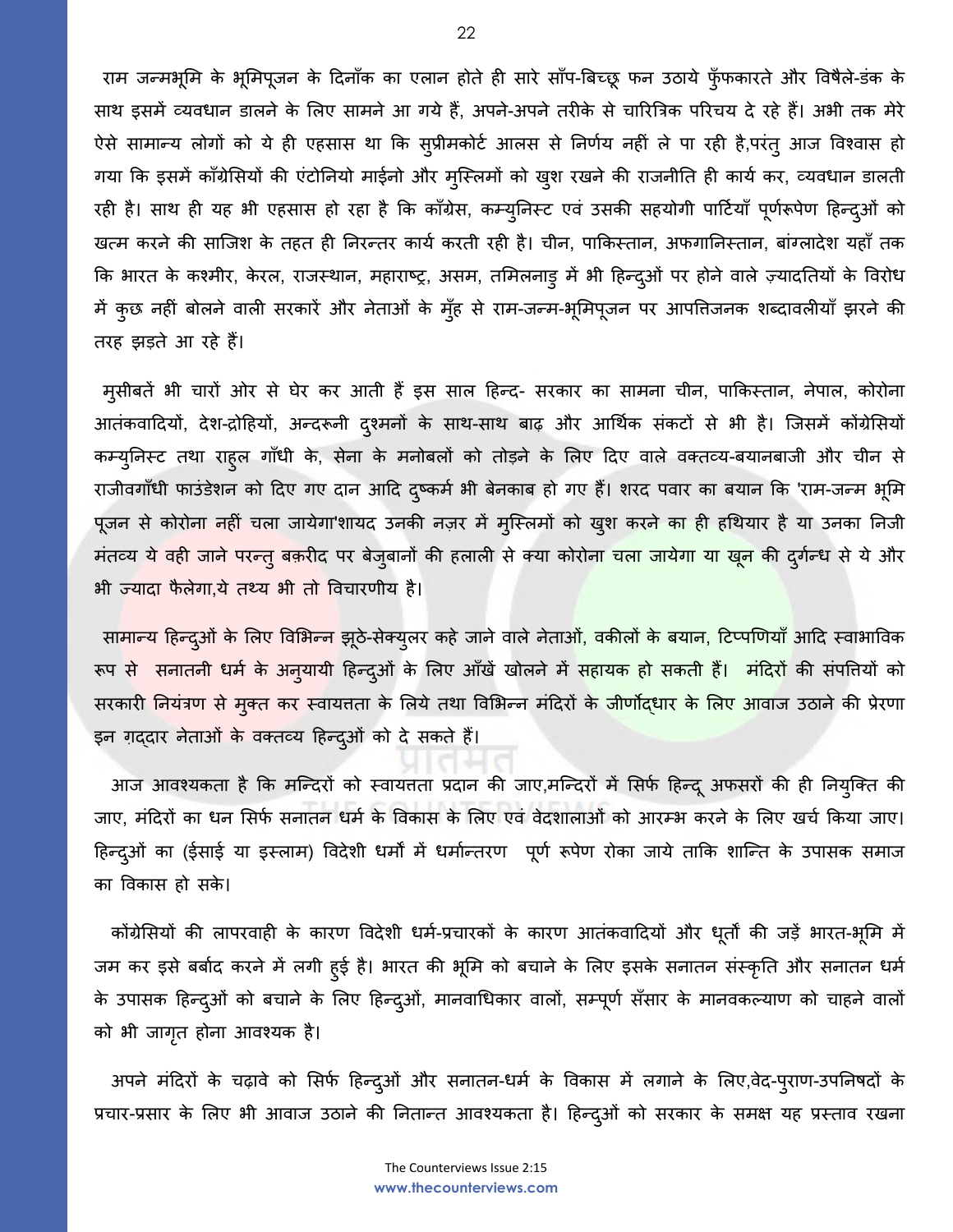राम जन्मभूमि के भूमिपूजन के दिनाँक का एलान होते ही सारे साँप-बिच्छू फन उठाये फूँफकारते और विषैले-डंक के साथ इसमें व्यवधान डालने के लिए सामने आ गये हैं, अपने-अपने तरीके से चारित्रिक परिचय दे रहे हैं। अभी तक मेरे ऐसे सामान्य लोगों को ये ही एहसास था कि सुप्रीमकोर्ट आलस से निर्णय नहीं ले पा रही है,परंतु आज विश्वास हो गया कि इसमें काँग्रेसियों की एंटोनियो माईनो और मुस्लिमों को खुश रखने की राजनीति ही कार्य कर, व्यवधान डालती रही है। साथ ही यह भी एहसास हो रहा है कि काँग्रेस, कम्युनिस्ट एवं उसकी सहयोगी पार्टियाँ पूर्णरूपेण हिन्द्ओं को खत्म करने की साजिश के तहत ही निरन्तर कार्य करती रही है। चीन, पाकिस्तान, अफगानिस्तान, बांग्लादेश यहाँ तक कि भारत के कश्मीर, केरल, राजस्थान, महाराष्ट्र, असम, तमिलनाड़ में भी हिन्दुओं पर होने वाले ज़्यादतियों के विरोध में कुछ नहीं बोलने वाली सरकारें और नेताओं के मुँह से राम-जन्म-भूमिपूजन पर आपत्तिजनक शब्दावलीयाँ झरने की तरह झड़ते आ रहे हैं।

मुसीबतें भी चारों ओर से घेर कर आती हैं इस साल हिन्द- सरकार का सामना चीन, पाकिस्तान, नेपाल, कोरोना आतंकवादियों, देश-द्रोहियों, अन्दरूनी दुश्मनों के साथ-साथ बाढ़ और आर्थिक संकटों से भी है। जिसमें कोंग्रेसियों कम्युनिस्ट तथा राहुल गाँधी के, सेना के मनोबलों को तोड़ने के लिए दिए वाले वक्तव्य-बयानबाजी और चीन से राजीवगाँधी फाउंडेशन को दिए गए दान आदि दुष्कर्म भी बेनकाब हो गए हैं। शरद पवार का बयान कि 'राम-जन्म भूमि पूजन से कोरोना नहीं चला जायेगा'शायद उनकी नज़र में मुस्लिमों को खुश करने का ही हथियार है या उनका निजी मंतव्य ये वही जाने परन्तु बक़रीद पर बेजुबानों की हलाली से क्या कोरोन<mark>ा चला जायेगा या खून की दुर्गन्ध से ये औ</mark>र भी ज्यादा फैलेगा,ये तथ्य भी तो विचारणीय है।

सा<mark>मान्य हिन्द</mark>्ओं के लिए विभिन्न झूठे-सेक्युलर कहे जाने वाले नेताओं, वकीलों के बयान, टिप्पणियाँ आदि स्वाभाविक रूप स<mark>े सनातनी धर्म के अनुयायी हिन्दुओं के</mark> लिए आँखें खोलने में <mark>सहायक हो सकती हैं। मंदिरों</mark> की संपत्तियों को सरकारी नियंत्रण से मुक्त कर स्वायतता के लिये तथा विभिन्न मंदिरों के जीर्णोद्धार के लिए आवाज उठाने की प्रेरणा इन ग़ददार नेताओं के वक्तव्य हिन्दुओं को दे सकते हैं।

आज आवश्यकता है कि मन्दिरों को स्वायत्तता प्रदान की जाए,मन्दिरों में सिर्फ हिन्दू अफसरों की ही नियुक्ति की जाए, मंदिरों का धन सिर्फ सनातन धर्म के विकास के लिए एवं वेदशालाओं को आरम्भ करने के लिए खर्च किया जाए। हिन्द्ओं का (ईसाई या इस्लाम) विदेशी धर्मों में धर्मान्तरण पूर्ण रूपेण रोका जाये ताकि शान्ति के उपासक समाज का ववकास हो सके ।

कोंग्रेसियों की लापरवाही के कारण विदेशी धर्म-प्रचारकों के कारण आतंकवादियों और धूर्तों की जड़ें भारत-भूमि में जम कर इसे बर्बाद करने में लगी हुई है। भारत की भूमि को बचाने के लिए इसके सनातन संस्कृति और सनातन धर्म के उपासक हिन्दुओं को बचाने के लिए हिन्दुओं, मानवाधिकार वालों, सम्पूर्ण सँसार के मानवकल्याण को चाहने वालों को भी जागतृ होना आवकयक है।

अपने मंदिरों के चढ़ावे को सिर्फ हिन्दुओं और सनातन-धर्म के विकास में लगाने के लिए,वेद-पुराण-उपनिषदों के प्रचार-प्रसार के लिए भी आवाज उठाने की नितान्त आवश्यकता है। हिन्द्ओं को सरकार के समक्ष यह प्रस्ताव रखना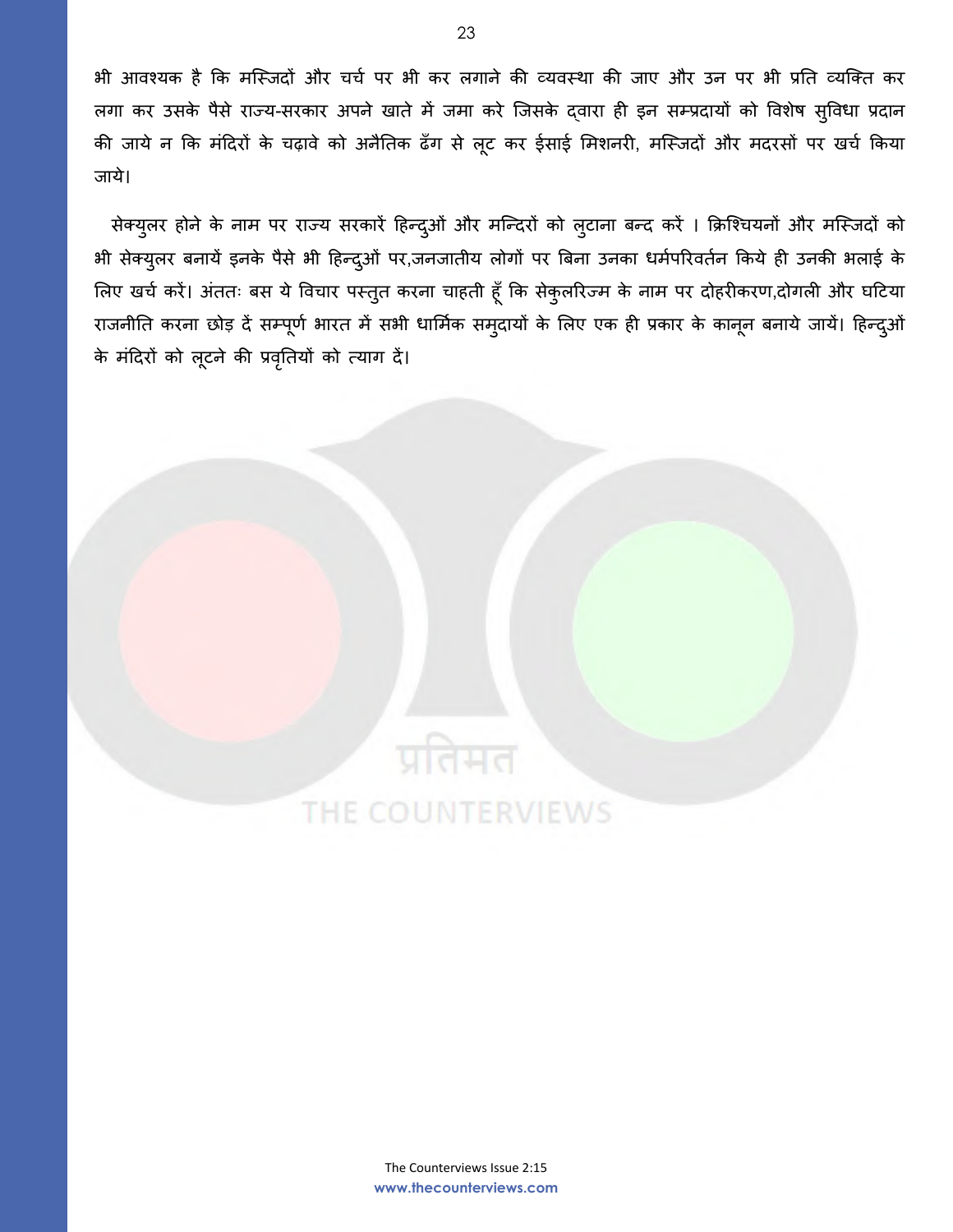भी आवश्यक है कि मस्जिदों और चर्च पर भी कर लगाने की व्यवस्था की जाए और उन पर भी प्रति व्यक्ति कर लगा कर उसके पैसे राज्य-सरकार अपने खाते में जमा करे श्जसके द्वारा ही इन सम्प्रदायों को ववशेष सुववधा प्रदान की जाये न कि मंदिरों के चढ़ावे को अनैतिक ढँग से लूट कर ईसाई मिशनरी, मस्जिदों और मदरसों पर खर्च किया जाये।

सेक्युलर होने के नाम पर राज्य सरकारें हिन्दुओं और मन्दिरों को लुटाना बन्द करें । क्रिश्चियनों और मस्जिदों को भी सेक्युलर बनायें इनके पैसे भी हिन्दुओं पर,जनजातीय लोगों पर बिना उनका धर्मपरिवर्तन किये ही उनकी भलाई के लिए खर्च करें। अंततः बस ये विचार पस्तुत करना चाहती हूँ कि सेकुलरिज्म के नाम पर दोहरीकरण,दोगली और घटिया राजनीति करना छोड़ दें सम्पूर्ण भारत में सभी धार्मिक समुदायों के लिए एक ही प्रकार के कानून बनाये जायें। हिन्द्ओं के मंददरों को लूटने की प्रवघृतयों को त्याग दें।



प्रतिमत

THE COUNTERVIEWS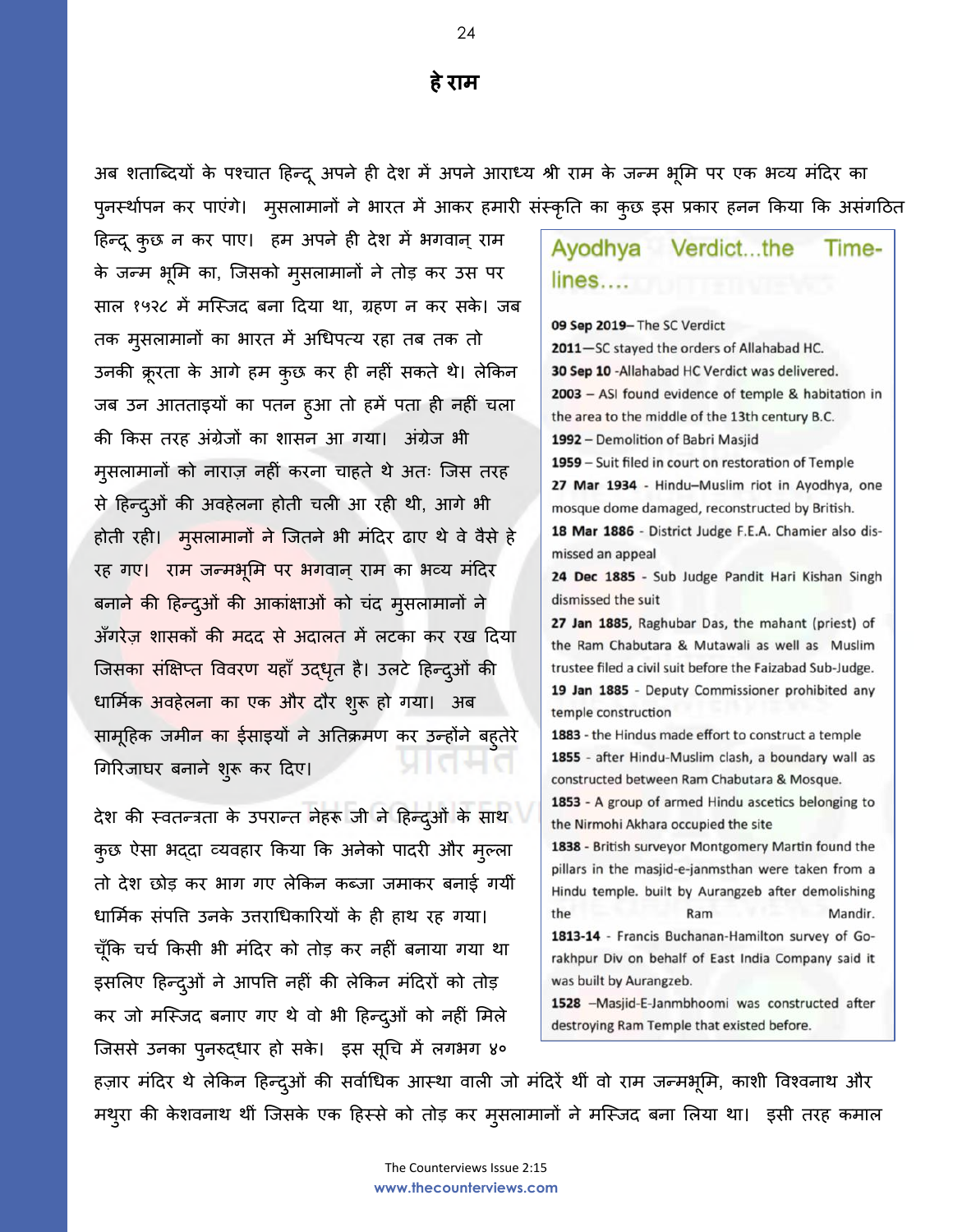अब शताश्ब्दयों के पकचात दहन्दूअपने ही देश में अपनेआराध्य श्री राम के जन्म भूलम पर एक भव्य मंददर का पुनर्स्थापन कर पाएंगे। मुसलामानों ने भारत में आकर हमारी संस्कृति का कुछ इस प्रकार हनन किया कि असंगठित

हिन्दू कुछ न कर पाए। हम अपने ही देश में भगवान् राम के जन्म भलूम का, श्जसको मुसलामानों ने तोड़ कर उस पर साल १५२८ में मस्जिद बना दिया था, ग्रहण न कर सके। जब तक मुसलामानों का भारत में अधधपत्य रहा तब तक तो उनकी क्रूरता के आगे हम कुछ कर ही नहीं सकते थे। लेककन जब उन आतताइयों का पतन हुआ तो हमें पता ही नहीं चला की ककस तरह अंग्रेजों का शासन आ गया। अंग्रेज भी मुसलामानों को नाराज़ नहीं करना चाहते थे अतः श्जस तरह से दहन्दओु ं की अवहेलना होती चली आ रही थी, आगे भी होती रही। मुसलामानों ने श्जतने भी मंददर ढाए थे वे वैसे हे रह गए। राम जन्मभूमि पर भगवान् राम का भव्य मंदिर बनाने की हिन्दुओं की आकांक्षाओं को चंद मुसलामानों ने अँगरेज़ शासकों की मदद से अदालत में लटका कर रख दिया जिसका संक्षिप्त विवरण यहाँ उद्धृत है। उलटे हिन्दुओं की धार्मिक अवहेलना का एक और दौर शुरू हो गया। अब सामूहिक जमीन का ईसाइयों ने अतिक्रमण कर उन्होंने बहतेरे गिरिजाघर बनाने शुरू कर दिए।

देश की स्वतन्त्रता के उपरान्त नेहरू जी ने हिन्दुओं के साथ कुछ ऐसा भददा व्यवहार किया कि अनेको पादरी और मुल्ला तो देश छोड़ कर भाग गए लेककन कब्जा जमाकर बनाई गयीं धार्मिक संपत्ति उनके उत्तराधिकारियों के ही हाथ रह गया। चूँकि चर्च किसी भी मंदिर को तोड़ कर नहीं बनाया गया था इसलिए हिन्दुओं ने आपत्ति नहीं की लेकिन मंदिरों को तोड़ कर जो मस्जिद बनाए गए थे वो भी हिन्दुओं को नहीं मिले जिससे उनका पुनरुद्धार हो सके। इस सूचि में लगभग ४०

### Ayodhya Verdict...the Timelines....

09 Sep 2019- The SC Verdict 2011-SC stayed the orders of Allahabad HC. 30 Sep 10 - Allahabad HC Verdict was delivered. 2003 - ASI found evidence of temple & habitation in the area to the middle of the 13th century B.C. 1992 - Demolition of Babri Masjid 1959 - Suit filed in court on restoration of Temple 27 Mar 1934 - Hindu-Muslim riot in Ayodhya, one mosque dome damaged, reconstructed by British. 18 Mar 1886 - District Judge F.E.A. Chamier also dismissed an appeal 24 Dec 1885 - Sub Judge Pandit Hari Kishan Singh dismissed the suit 27 Jan 1885, Raghubar Das, the mahant (priest) of the Ram Chabutara & Mutawali as well as Muslim trustee filed a civil suit before the Faizabad Sub-Judge. 19 Jan 1885 - Deputy Commissioner prohibited any temple construction 1883 - the Hindus made effort to construct a temple 1855 - after Hindu-Muslim clash, a boundary wall as constructed between Ram Chabutara & Mosque. 1853 - A group of armed Hindu ascetics belonging to the Nirmohi Akhara occupied the site 1838 - British surveyor Montgomery Martin found the pillars in the masjid-e-janmsthan were taken from a Hindu temple. built by Aurangzeb after demolishing the Ram Mandir. 1813-14 - Francis Buchanan-Hamilton survey of Gorakhpur Div on behalf of East India Company said it was built by Aurangzeb. 1528 -Masjid-E-Janmbhoomi was constructed after destroying Ram Temple that existed before.

हज़ार मंदिर थे लेकिन हिन्दुओं की सर्वाधिक आस्था वाली जो मंदिरें थीं वो राम जन्मभूमि, काशी विश्वनाथ और मथुरा की के शवनाथ थीं श्जसके एक दहस्से को तोड़ कर मुसलामानों ने मश्स्जद बना ललया था। इसी तरह कमाल

**हेराम**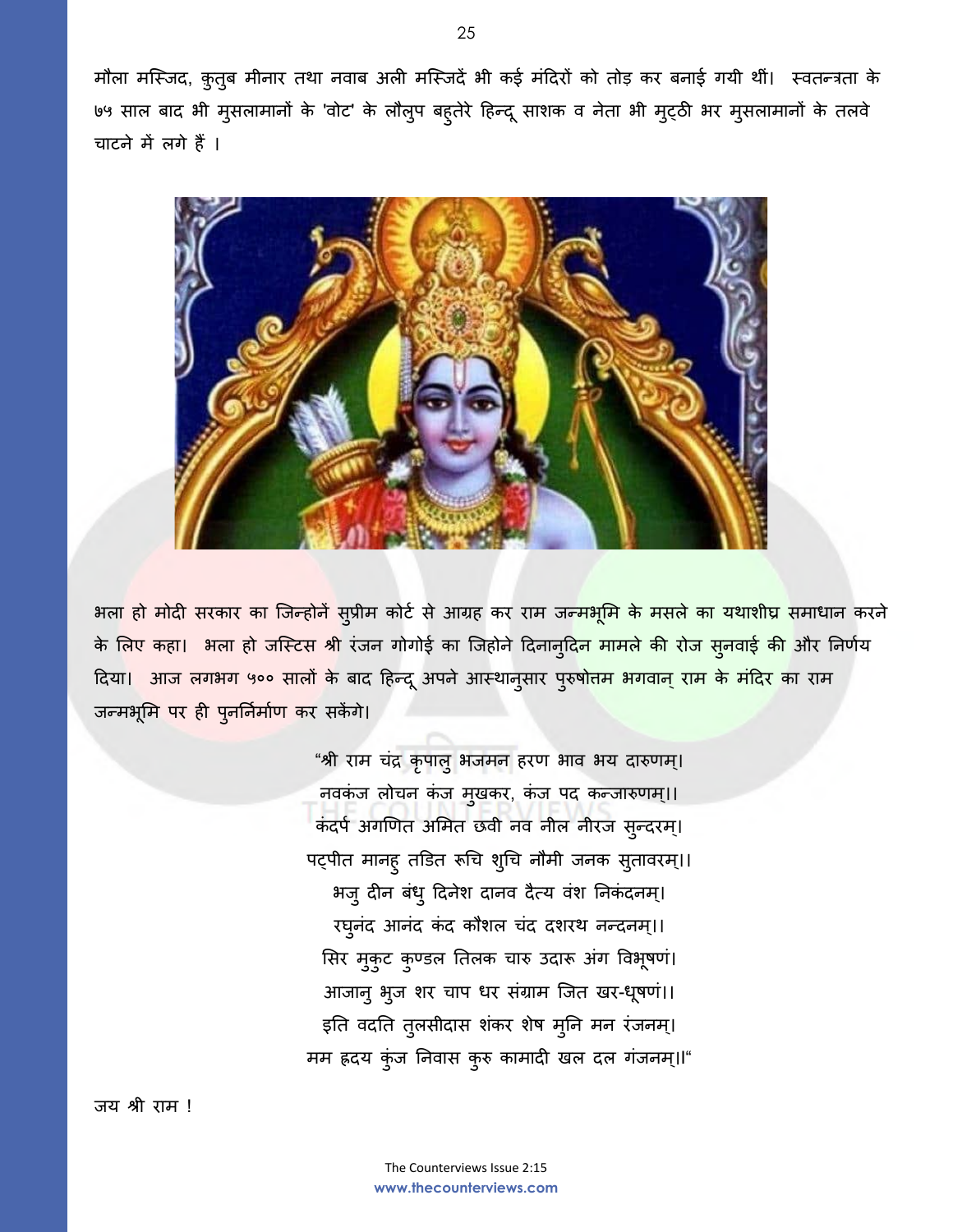मौला मश्स्जद, क़ुतुब मीनार तथा नवाब अली मश्स्जदें भी कई मंददरों को तोड़ कर बनाई गयी थीं। स्वतन्त्रता के ७५ साल बाद भी मुसलामानों के 'वोट' के लौलुप बहुतरेे दहन्दूसाशक व नेता भी मुट्ठी भर मुसलामानों के तलवे चाटने में लगे हैं।



भला हो मोदी सरकार का जिन्होनें सुप्रीम कोर्ट से आग्रह कर राम जन्मभूमि के मसले का यथाशीघ्र समाधान करने के लिए कहा। भला हो जस्टिस श्री रंजन गोगोई का जिहोने दिनानुदि<mark>न मामले की रोज सुनवाई की</mark> और निर्णय दिया<mark>। आज लगभग ५०० सालों के</mark> बाद हिन्दू अपने आस्थानुसार पुरुषोत्<mark>तम भगवान् राम के मंदिर का</mark> राम जन्मभूमि पर ही पुनर्निर्माण कर सकेंगे।

> "श्री राम चंद्र कृपालु भजमन हरण भाव भय दारुणम्। नवकंज लोचन कंज मुखकर, कंज पद कन्जारुणम्।। कंदर्प अगणित अमित छवी नव नील नीरज सुन्दरम्। पट्पीत मानहु तडित रूचि शुचि नौमी जनक सुतावरम्।। भजुदीन बंधुददनेश दानव दैत्य वंश घनकंदनम।् रघूनंद आनंद कंद कौशल चंद दशरथ नन्दनम्।। सिर मुकुट कुण्डल तिलक चारु उदारू अंग विभूषणं। आजानु भूज शर चाप धर संग्राम जित खर-धूषणं।। इति वदति तुलसीदास शंकर शेष मुनि मन रंजनम्। मम ह्रदय कंुज घनवास कुरु कामादी खल दल गंजनम।्I"

जय श्री राम !